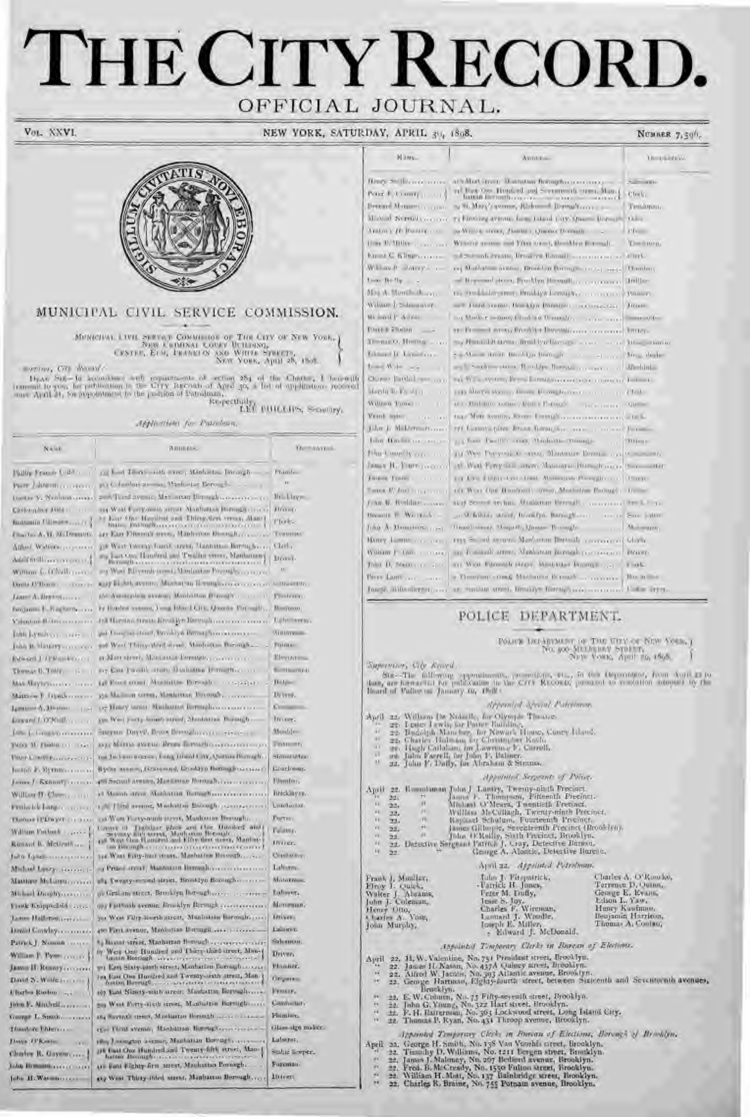# THE CITY RECORD. OFFICIAL JOURNAL.

Vot. XXVI.

NEW YORK, SATURDAY, APRIL 30, 1898.

NUMBER 7,50%



## MUNICIPAL CIVIL SERVICE COMMISSION.

 $\begin{array}{c} \textbf{M}\texttt{DMCHMA} \text{ LUM} \text{ SUMV4} \textbf{COMHOMO} \textbf{S} \text{ OF} \textbf{T} \textbf{H} \textbf{R} \textbf{C} \textbf{H} \textbf{Y} \textbf{O} \textbf{Y} \textbf{N} \textbf{W} \textbf{Y} \textbf{O} \textbf{R} \textbf{A} \\ \textbf{79} \textbf{W} \textbf{V} \textbf{R} \textbf{M} \textbf{N} \textbf{A} \textbf{I} \textbf{A} \textbf{O} \textbf{M} \textbf{Y} \textbf{I} \text$ 

www. City Woods

 $U_{\text{EAM}}$ , CVI, World and with reparements of section 254 of the Chatter, I have<br>with transmit to you, for puthorizon in the City Rigonal of Apro 35, a bot of application recoved<br>since April 31, for pupolarizont to the p

Applications for Patteloun,

| Natali                                                | 造图图图象                                                                                                                           | <b>Director</b><br>1Hu           |                   |
|-------------------------------------------------------|---------------------------------------------------------------------------------------------------------------------------------|----------------------------------|-------------------|
| Pallie France L dd.                                   | on had Teast and error, Minhalter Dirangh-                                                                                      | Fhimle-                          | Titrus            |
| PER Librario con con                                  | any thousands are man. Manharine Rorough-                                                                                       | m.                               | <b>JULE</b>       |
| Contae Va Nonfinite covers                            | 2005 Tend avenue Mat Inten Dimiglission consumers                                                                               | <b>Million</b>                   | Torre             |
| Christophor Hilds to a co-                            | my Wast Farry must attract Abadbation Burmetic course                                                                           | <b>History</b>                   | <b>TURN</b>       |
|                                                       | East One Hapilivit and Thing-Yew treas. Alam I<br>BUILDER AND WARD AND A COLLECTED TO THE COLLECTED OF THE REAL PROPERTY.       | Photo.                           | ttorm             |
| Charles A. H. McDonutte,                              |                                                                                                                                 |                                  | J sztua.          |
| Athoa! Walters proposess                              | gill Wast Twenty Fairer, spring Manhaman Berring Ky.                                                                            | Clari,                           | Henr              |
| Additionally assessment of a                          | say East One Hundred and Tweller errors, Maritanans;<br><b>Microsoft Garment</b>                                                | Brown.                           | W still           |
| Wittiggs for Officials contract                       | any Want Elivernic screet, Montanton Portughy to recent                                                                         | $\mathbf{u}$                     | Jako              |
| Dama (Pillomin) - Charles                             | any kichth avenue, Monter an Tenungham avenue can be thousand.                                                                  |                                  | $P_{\text{EVET}}$ |
|                                                       | got a controlleriz a comer, Mondal-Hon Blancoford and a con-                                                                    | Finitenno.                       | DM <sub>1</sub>   |
| Decisions E. Nagherborous                             | Ty Hondor synons; I ong Hinri CIVE AJourne Foromity,                                                                            | Bloomus,                         |                   |
| Valentino Bolivino con error                          |                                                                                                                                 | Lightmassur.                     |                   |
| <b>Diffit Lymits as a service</b>                     | and Living and Load, Brooklyn Brough Source is a com-                                                                           | AUDIOVERS.                       |                   |
| John B. Haussy                                        | and Wast Thirty-date Larent, Manhattan Barongh                                                                                  | FOUR                             |                   |
| Edward J. (PRomision of                               | at Mart street, Manianus Demogle, concern com-                                                                                  | Eleventrica.                     |                   |
| Thomas D. TOMY, 1-1                                   | re East Preside statu Manuatur Privather                                                                                        | <b>BUTLEYAN</b>                  | <b>Sup</b>        |
| MAS ABIVECTORIAL INC.                                 |                                                                                                                                 | <b>Bidges</b>                    | лінит.            |
| Magnon F. Djugler needs                               |                                                                                                                                 | Ilyver.                          | Ideas             |
| Lamassen C. Little Corp. 1 1 1 1                      | or Honry target. Withouter Bernaghous concern-                                                                                  | Greenway                         |                   |
| Enward LOCKwill                                       | you Wass you'll became sureed Mindeletter Bureaugh-                                                                             | Hower.                           | Apri              |
| <b>Info: L. Longility of executive</b>                | SHOWAIT DIRECT, DEMAN DISTURBANCE CONTRACTOR                                                                                    | Monti -                          |                   |
|                                                       | arte Militia avetuo ilituto fictuali o critico ritiriscon                                                                       | <b>TWAINING</b>                  |                   |
| MOO 'M. Fredito con man-                              | too Jackson e ocean, Ento; Histori Litt, Questa Romagh. .                                                                       | Through a formula                |                   |
| <b>HIMPA MATELIA CARLO AT</b>                         | Ryder aream, Distremed, Dendryo Boston Francisco                                                                                | <b>Coxeliman.</b>                |                   |
| both in Byrnmann                                      |                                                                                                                                 |                                  |                   |
| James J. Kennaty                                      | 49 Second Avenue, Maritanue Borondi Concorners                                                                                  | Flimitar.                        | $A$ pri           |
| William IT: Cheese and it is                          | cl Morron street. Monitotian Better/Harry concernence                                                                           | hricklay sv.<br><b>Landarton</b> |                   |
| reminded founded conservery                           | 1 N Timi avenue, Madoline Barough connoctive                                                                                    |                                  |                   |
| Elaborate EPEW JAP Contract                           | ion Ware Europeannic power, Manhooter Bernardo.                                                                                 | PARTESY.                         |                   |
| William Enthuck                                       | Canny of Toolshar phase and the Quested and Tyrong and versa, Madrona Borough<br>The Way Gue Rambed and Ellip den versa, Madron | Feawr.                           |                   |
| Romant B. McGrattisse                                 | <b>LIKE EMICING DESCRIPTION</b>                                                                                                 | <b>Intron-</b>                   |                   |
| July Life                                             | And Want Eiroy-mail intern. Manholine Minorath                                                                                  | Challocers.                      |                   |
| Midael Learn Service P                                | o Pruss aver, Mantourn Boyondico concerned                                                                                      | Labiarry.                        |                   |
| <b>Matricery McLarett</b>                             | 184 Europeanced struct, Brooklyn Bountary                                                                                       | Motorross.                       | Fran<br>Fina      |
| Michael Duopiry                                       | or Graham street, Beaching Botoughseeren and a                                                                                  | Ealtower.                        | Walt              |
| Frank Exappedidd                                      | on Faithail avenue, Brocklyn Bremgk re-                                                                                         | Махаичания.                      | utm<br>Hen        |
| Jammy Holleron, Irressen                              | jus West Fifty-Regulative), Manistran Barmelro                                                                                  | <b>Driver</b>                    | 4. lyan<br>Jolko  |
| Drawt Grawley                                         | 490 First symme, Manharina Barmagii essa pricesso                                                                               | Laurent.                         |                   |
| Patrick J. Nammir correct                             | 4 Bassar sera se, Mannaetan Borough.                                                                                            | Sabarron.                        |                   |
| William F. Pyton course.                              | by West One Hundred and Thirry-third-treet, Man-<br>latter Bornugh                                                              | Driver,                          | Apri              |
| Jazzur II. Renney.                                    | wi East Sixty-profit street, Manharton Borough                                                                                  | Plamier.                         |                   |
| David N. Willie Harrison                              | Ive East One Hundred and Townty-architectured, Man-<br>fortun Berough                                                           | <b>Exposure</b>                  |                   |
| Ultarios Roston                                       | 107 Last Ninety-seate areas: Manfaston Borough,                                                                                 | HYMALE.                          |                   |
| $10000$ $V =$ $M1000$ $mV$ <sub><math>mV</math></sub> | am West Forty-sixth speed, Manhalton Barnighton,                                                                                | Commellity                       |                   |
| Louvar L. Strath,                                     |                                                                                                                                 | <b>Phinist</b>                   |                   |
| Thuatore Filter                                       | 1500 Flord avenue, Manhattan Highlaghers - Ford                                                                                 | Glass-sign maker.                |                   |
| District Til Kommun                                   | the Jessexten assume, Mantatian Berengt,                                                                                        | Laborat.                         | Apri              |
| Charles R. Gayman                                     | 116 Unal One Hundred and Twenty-fifth street, Man-<br>fortime Berninghams.                                                      | sealth corpor-                   |                   |
| Into Bencourt,                                        | O Font Eighty-first arrest, Mathattan Persongh.                                                                                 | Foreman.                         |                   |
|                                                       | sty West Thirty-third streat, Manisation Borough,                                                                               | <b>Littler</b>                   |                   |

| Hilms.                           | Autobias -                                                                       | <b>LEUCHBREAL</b> |
|----------------------------------|----------------------------------------------------------------------------------|-------------------|
| ling Stilliand more              | at which are it was the formplate common                                         | <b>Superinten</b> |
| Value of the control of the bank | ad has too. Hope of and Screens de non-chan-p                                    | Clerk)            |
| Jeromi Monager, comme            | ay H. Mary's avenue, Richmond Bernaltycon                                        | Tauthanan.        |
| this of thematical care          | 74 Easting avenue Issue Island City, Quarter Hornors, China                      |                   |
| Vastro y 10 Trosser,             | pa-William street, Jamier, Quemic Domain-                                        | $11 - 1$          |
| One D. Miller                    | Withdref assume and Yuan termy, thoughten Rosmalt.                               | Testmon.          |
| <b>CONTRACTOR CONTRACTOR</b>     |                                                                                  |                   |
| William P. Jorray - -            | ray Mathetics artificial Direction Borning and and application that the state of |                   |
| look Bi-Us-                      |                                                                                  |                   |
| Da A. Hondi J.                   | 16. The Link for the Chrysler Lindaws Contract Concerns (Motors                  |                   |
| Nilsson C. Samuel                | That man, though though consumers (Hom-                                          |                   |
| a soul P Adron                   | my Mode r is more thanking through a common and the series.                      |                   |
| looking a booking                |                                                                                  |                   |
| $m_{\text{max}} = 1$             | = / Huntal Harmar Treat typ Darragin = core = core 10 = - tamar                  |                   |
| alaband If January co-           | 5 = M = = units limit(yr liking)( = + = + + + + M = dedi-                        |                   |
| $m = 400$ mass                   | and Southern tons Rootley Rooms, common and African                              |                   |
| Dorest Bardell case your         | my William Warren Limiters contract to the contract of the con-                  |                   |
| derda in Visitore<br>(1, 1)      |                                                                                  |                   |
| Village Power<br>$\mathcal{A}$   |                                                                                  | <b>COURSE</b>     |
| Contractor communication         |                                                                                  |                   |
| John J. Millerman                |                                                                                  |                   |
|                                  | L. J. Loon Pacifil's -roots, Abrolomia-Thorontia-                                | $TMH$ out and     |
| Harlowelly or                    | an West Poryoni, o savo, Mantaur Berna, can y sometic-                           |                   |
| <b>BREE H. CHIPPER CORP.</b>     | AT WALL Party with streets. Manuarum Prince Process, 1999.  Har-                 |                   |
|                                  | TO LIFE EMMY-UNIT LOAN. MINIMUM POSSIBLE  ITSONS-                                |                   |
| <b>MODEL R/ ROOT TITLE TWO T</b> | OT WELL THE HEADTHERE STREET Mentionism Photograph 17 =                          |                   |
| own M. Weddisco                  | and Second Archim. Musliman Brenath, concerned for L.C. in-                      |                   |
| termitt E Willy-L.               |                                                                                  |                   |
| this A. Domining 179-1           |                                                                                  |                   |
| fency Long control               | THE SCHOOL Marketin Directly correspond Globs                                    |                   |
| Village P. Libro Correct         | as 4 senali arms, Mankanan Jamask community Brave-                               |                   |
| What D., Newman (1997) 2019      | in their Parentals street. Ministrian Record in  . I link-                       |                   |
|                                  | a Thoughan crime Machenne Brench                                                 | How in the a      |
| ango alifanilera con c           | are maxima areers liverally formal assessments of the liver-                     |                   |

## POLICE DEPARTMENT.

onues.

aning, City Revel.

State-The following approximates, presenting the fit this importance, from Auto-23 to a state of the correlation in the Critic Records, presented to resolution adopted by the of of Waller on January to, 1968 -

| April<br><b>LATE</b><br>ú.<br>18<br>-i V<br>W<br>AU.        |                                                    |                                                                                                   | Appended Special Patentanan.<br>22. William Dr Nobelle, for Olympic Thousan-<br>27. Leacy Lewis, for Patter Building,<br>22. Budolph Manches, Bir Niwark House, Cosey Liland,<br>22. Charler Halman, by Christmowr Knoli,<br>ge, Hugh Cathlan, by Lawrence F. Carroll,<br>au. Julio Facrell, for John P. Balmer.<br>22. John F. Daily, for Abraham & Strouss.                                                                                                                                           |                                                                                                                                                                                                                                |
|-------------------------------------------------------------|----------------------------------------------------|---------------------------------------------------------------------------------------------------|---------------------------------------------------------------------------------------------------------------------------------------------------------------------------------------------------------------------------------------------------------------------------------------------------------------------------------------------------------------------------------------------------------------------------------------------------------------------------------------------------------|--------------------------------------------------------------------------------------------------------------------------------------------------------------------------------------------------------------------------------|
|                                                             |                                                    |                                                                                                   | Appointed Servents of Poise.                                                                                                                                                                                                                                                                                                                                                                                                                                                                            |                                                                                                                                                                                                                                |
| April<br>38.7<br>W.<br>W.<br>W.<br>18.1<br>14.1<br>VO.<br>w | 221<br>22.<br>33,<br>227<br>332<br>35.<br>22<br>22 | w<br>181<br>VI.<br>$\mathbf{m}$<br>itt.<br>W.                                                     | 22. Emmlunan John J. Lastry, Twenty-ainth Precisert.<br>James F. Thompson, Fitteenth Precinct,<br>Маллан А. Мелек, Tuentieth Tremact,<br>William McCollagh, Twenty-moth Privinct,<br>Raphael Schulum, Fourteenth Premet,<br>James Gillaupte, Seventeenth Precinct (Brooklyn).<br>Jilm O'Mollie, Stath Precinct, Brooklyn,<br>Detective Sergeant Patrick J. Cray, Detective Bureau,<br>Grange A. Alancie, Detective Bureau,                                                                              |                                                                                                                                                                                                                                |
|                                                             |                                                    |                                                                                                   | April 22. Appeluted Potrolinan.                                                                                                                                                                                                                                                                                                                                                                                                                                                                         |                                                                                                                                                                                                                                |
| Henry Otto,<br>John Murphy,                                 |                                                    | Frank J. Musller,<br>Finoy 1: Quick.<br>Walter J. Abrams,<br>John J. Coleman,<br>Unaxies A. Vost, | Julie Iv Fitopatrick,<br>-Uatrick H. Junes,<br>Free M. Lindy,<br>lesse by Juy.<br>Charles F. Wireman,<br>Lamani J. Windle,<br>Intendt E. Miller,<br>- Eilward J. McDonald,                                                                                                                                                                                                                                                                                                                              | Charles A. O'Runche,<br>Terrence D. Quinn.<br>George E. Evans<br>Edson L. Yaw,<br>Henry Kautman,<br>Beajamin Harrison.<br>Thomas A, Coolan,                                                                                    |
|                                                             |                                                    |                                                                                                   | Appointed Temperary Clerks in Barcon of Elections.                                                                                                                                                                                                                                                                                                                                                                                                                                                      |                                                                                                                                                                                                                                |
| April<br>$x + 1$<br>IE.<br>m<br>P1<br>33<br>74.<br>35       |                                                    | Bronklyn,                                                                                         | 22, H. W. Valentine, No. 751 Prosident street, Brooklyn,<br>22. James H. Nasan, No. 437A Quincy sirest, Brooklyn.<br>22. Alfred W. Jacobs, No. 393 Atlantic avenue, Brooklyn,<br>22. George Hartman, Eighty-hurth street, between Sixteenth and Seventoriah av<br>22. E.W.Comm, No. 75 Fifty-sevenilt street, Brooklyn.<br>22. John G. Voung, No. 322 Hart street, Brooklyn,<br>22. F. H. Ratterman, No. 363 Lockwood street, Long Island Caty,<br>22. Thumas F. Kyan, No. 431 Throop avenue, Brooklyn. |                                                                                                                                                                                                                                |
|                                                             |                                                    | a distance of the property of the                                                                 | the party of the control                                                                                                                                                                                                                                                                                                                                                                                                                                                                                | the party of a company of the second company of the second control of the second company of the second company of the second company of the second company of the second company of the second company of the second company o |

 $\label{prop:optimal} \begin{array}{ll} Jppsinhd & Tempersy & Cleck & m. Bmvan of~Eleclions,~Barmgh & d. Brinklef, \\ \mbox{aa. George H. Sinit. No. 135 Van Vomhfs street, Brooklyn,~\mbox{22. Transly D. Williams}, No. 1211 Bergm storet, Brinklyn,~\mbox{22. Jamsa J. Malomay, Na. 1556 Fallord avenae, Broadlyn,~\mbox{22. Fred. B. McCready, No. 1556 Fallon Sreet, Brocklyn,~\mbox{22. William H. Matig R. Braine, Nu. 7552 Patnam avenae, Brooklyn,~\mbox{$ 

- 
- 
- 
-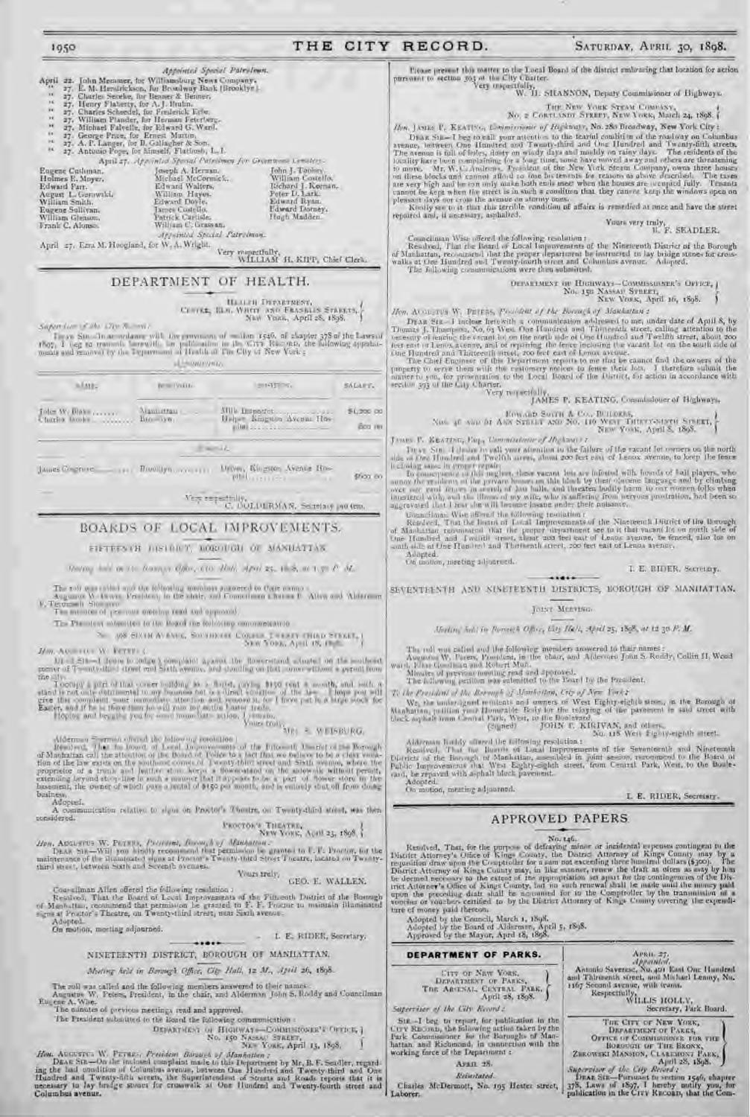## THE CITY RECORD.

## SATURDAY, APRIL 30, 1898.

Prease present this matter to the Local Board of the district embracing that location for action. parsonant to section 303 of the City Chatter-<br>Very inspectfully, W. J. SILANNON, Deputy Commissioner of Highways.

 $\begin{array}{c} \text{True New Your Case System Country} \\ \text{No. $\mathbf{z}$ Centusion Structure, New York, March $z_4$, $r898.}\end{array}$ 

Hen, JASIE F. KEATING, Lowminsoner of Highways, No. 280 Broadway, New York City :

Then I save T. Azarray, Longitude to the Rarul condition of the readway on Columbus Draw Suc-T begrowell your attention to the Rarul condition of the readway on Columbus avenue, between One Hundred and Twenty-find and One ayence, between One Hundred and Twenty-filing and One Hundred and Twenty-filin are<br>the avenue is tall of holes, do ty on windy days and modely on rainy days. The residents of the<br>locality force been complaining (or a boug

Yours very truly, F. SEADLER.

Councilinan Wise offered the following resolution:<br>Resolved, That the Board of Local Improvements of the Nineteenth District of the Borough<br>of Manhattan, recommend that the proper department be instructed to lay bridge sta

Hen, At awarys W. DETESS, Possident of the Borough of Manhattan's

DEAR Six - I incluse herewith a communication addressed to me, under date of Apill 8, by<br>Thomas J. Thompson, No. 63 West One Handred and This<br>nearly site attention to the tensor of the north idea of the other contracts, ca

The Chef Engineer of this Department reports to me that be caused find the owners of the<br>property to serve them with the estimates to feature their lots. I therefore submit the<br>name to you, for proceeding to the Local Boar

# $\label{eq:11} \begin{array}{ll} \mbox{Non-atturb} & \mbox{Eow} \mbox{on } \mbox{Bowri} \hskip 0.5em \mbox{A} \mbox{ Con. Dottosals}, \\ \mbox{Non-atturb} & \mbox{Aow} \mbox{Svatain} \mbox{ Aow} \mbox{ No. 110 Wear Tattor} \\ \mbox{New Yous. April 5, 1898}. \end{array}$

JAMES F. KEATING, Eng., Commissioner of JIngham (1) These Sin, it hadro to sail your atomilant to the failure of the racant for owners on the north does of the final fund that Twelfth arrest, about 200 feet case of Lencox avenue, to keep the fears

is closing wave in grave trapic. However, when are infected with from a coup the team in closing wave in grave team was an this first of the decome largest conduct be an above the property of hours on the bland by their ob

Uquantlane. Wee affired the following resolution a

Considered, That the Household Consideration of the Nineteenth District of the Brough of Nineteenth District of the Brough of Nineteenth construction of Nineteenth Considered and Jacobian of the proper department see to it Adopted.

I. E. BIDER, Secretary.

 $......$ SEVENTEENTH AND SINETEENTH DISTRICTS, BOROUGH OF MANHATTAN.

#### JOIST MEETING.

Meding Sold in Parriets Office, Lity Hell, April 25, 1898, or 12 30 F. M.

The roll was called and the following meraders in<br>exceed to that names : Assumes W. Facers, President, in the obser, and A<br>(decoder Joan S. Roddy, Collin H, Wood was),  $\mathcal{V}$  for the<br>diagonal Robert Mun. Missive of prev

the President of the Morrows of Manhottan, City of New York's

We, the underdpoet reminate and somes of West Eighty-eighth store, in the Bomugh of Nianhattan, pullion your Homerable Body for the relaying of the parament in said street with the k aqibale from Central Park, West, to the

 $\label{eq:1} \begin{minipage}[t]{.4\textwidth}\begin{tabular}{p{0.85\textwidth}} \hline & & & & & & & & & \\ \hline & & & & & & & \\ \hline & & & & & & & \\ \hline & & & & & & & \\ \hline & & & & & & & \\ \hline & & & & & & & \\ \hline & & & & & & & \\ \hline & & & & & & & \\ \hline & & & & & & & \\ \hline & & & & & & & \\ \hline & & & & & & & \\ \hline & & & & & & & \\ \hline & & & & & & & \\ \hline & & & & & & & \\ \hline & & & & & & & \\ \hline & & & & & & & \\ \hline & &$ 

**APPROVED PAPERS** 

L. E. RIDER, Secretary.

Hen, Applement W. Physics, Proposed, Russia, by Machamour.<br>DEAR SIR—Will you hindly recognised that permission is granted to U.Y. Proctor, for the<br>uninternance of the Humanated signs at Proctor's Twenty-third Stort Theatre **Viuri truly,** 

## GEO. E. WALLEN.

Contribute Alice offered the following resolution :<br>Resolved, That the Board of the District of the Timeoth District of the Boarding<br>of Manufacture, committee that permission is granted to F. F. Poster to maintain illumina

dopted. On motion, meeting adjourned.

L E. RIDEE, Secretary,

NINETEENTH DISTRICT, BOROUGH OF MANILATIAN.

Moting held in Bernagh Office, City Hall, 12 M., April 26, 1898.

The roll was called and the following members answered to their names.<br>Augustus W. Peters, President, in the chair, and Alderman John S, Roddy and Councilman  $\begin{array}{c} \textrm{Auxature W,}\\ \textrm{Euc. enc A. Wbc.} \end{array}$ 

The numutes of previous meetings read and approved.

The President subsidied to the Board the following communication :

 $\begin{tabular}{l|c|c|c|c|c|c|c|c} \hline \texttt{DF}(\texttt{RATMCT}) & \texttt{or} & \texttt{HIGHWAT0} & \texttt{COMHSHONER} & \texttt{OFTC-B} \\ \hline \texttt{No. 150 NASAN} & \texttt{STAERT}, \\ \hline \texttt{No. 150 NACN DFA} & \texttt{No. 150 AFT} \\ \hline \end{tabular}$ 

Hos. ACCUSTOR W. PETRES, President Baranca of Manhattan ;<br>DEAR SER-On the inclused complaint made to this Department by Mr. B. F. Seatler, regarding the bad condition of Columbus avenue, between One Husdred and Twenty-fift Columbus avenue.

Not take a Note that the purpose of defraying minor or incidental sepenses contingent to the District Attorney's Office of Kings Cosaty, the District Attarney of Kings Cosaty and the Cosaty is the pair of the compared in t Adopted by the Council, March 1, 1898.<br>Adopted by the Board of Aldermen, April 5, 1898.<br>Approved by the Mayor, April 18, 1898.

DEPARTMENT OF PARKS. **LITY OF NEW VORE,<br>DEPARTMENT OF PARKS,<br>THE ARSENAL CLYTRE PARK.** 

April 28, 1898. Supervisor of the City Record :

Sig -I beg to report for publication in the First Records, the following action taken by the<br>Tark Commissioner for the Baraughs of Manhattan, and Richmond, in connection with the<br>working force of the Department :

Aran 28. Beturtated.

Charles McDermott, No. 195 Heater street, Laborer.

 $\label{eq:1} \begin{array}{ll} \textit{Area}(x, \, \, x).\\ \textit{Appendual},\\ \textit{Airmonic Saveruse}, \, \textit{Na}, \, \textit{go} \, \textit{Eaul One} \, \textit{Hundend} \\ \textit{and} \, \textit{Taireanich Street}, \, \textit{and} \, \textit{Mathael} \, \textit{Lenny}, \, \textit{Na}. \end{array}$ 1367 Second avenue, with fearus, Respectfully, WILLIS HOLLY, Secretary, Park Board. THE CITY OF NEW YORK, DEPARTMENT OF PARKS, OFFICE OF COMMISSIONS FOR FIXE BOROUGHT OF THE BRONX, PARKS. ZEROWSKI MANSION, CLAREMONT

April 28, 1898.<br>
Supervisor of the City Record :<br>
Drag Sin-Pursuant to section 1546, chapter<br>
378. Laws of 1897, T hereby earlify you, for<br>
publication in the Crry Record, that the Com-

 $p = 0.00$  $=1437\%$ Total W. Dialer ....... Manuel Paul Louis Milk Disporter. Charles Books \_\_\_\_\_\_\_\_  $100 - 190$ Beller Engano Avenue Hos $min$ <sub>2.11</sub>

Appointed Special Patroleum

April 27. Appliated Special Patricional for Granteest Constitu-

Ary anied Special Patrolman

DEPARTMENT OF HEALTH.

These Sin Thus and any will the previous of within 1546, of chapter 378 of the Lawson<br>1607, I log to translate between the publication in the City of New York : belowing appelainteness and removed by the Taparroom of Husti

**ALCONOVING** 

Joseph A. Herman,<br>Michael McCormick,<br>Edward Walton,<br>William Haywi,<br>Edward Dovle,<br>James Coatello,<br>Patrick Cartisle,<br>William C. Cresson,

William C. Grassan,

Appointed Special Patricines<br>
Appointed Special Patricines<br>
(27. E. M. Hermiticheon, for Boosteary Bank (Brooklyn)<br>
(27. Elartes Scheed, for Boostear & Benner,<br>
(27. Henry Platerty, for A. J. Huth.,<br>
(27. Henry Platerty, f

April 27. Ezra M. Hoogland, for W. A. Wright.

pitation and a series \$fickl (ii)

**STAGELY** 

 $\text{Ver} \xrightarrow{\text{exp}} \mathbb{C}, \text{DOLMIRMA}, \text{Sesselary partem}.$ 

John J. Toolery<br>William Costello.<br>Richard J. Koonan.<br>Poter D. Lark.

Edward Ryan.<br>Fdward Dorney.

Hugh Madden.

Very mapperfully, H. KIPP, Chief Clerk,

 $\begin{array}{c} \text{Hamainm Invariants},\\ \text{Cemata},\text{ Ham. Watrix and Fansus's graphs},\\ \text{New Vons},\text{ April 28, 1898}. \end{array}$ 

## BOARDS OF LOCAL IMPROVEMENTS.

### FIFTEFSTH DISTRICT, ROBOTON OF MANILATIAS

Marting with the 15 Beauty's Office, CO. Math, Marti 25, 16-8, at 1 p. C. M.

The roll was tailed and the following amounts antenned to Onte came . Allow and Alderman Augustos W. December President in the shalls and Committeen Link as P. Allow and Alderman F. President

The millions of post-road membre read and approach-

The Plansters submitted to the Regul the following communication

508 SIXTH AVENUE, SOUTHERN CORRECT THEFT CHIND STEEL

JAW. ACCORD V. FETTER C

1950

Eugene Cushman. Holmes E. Moyer. Edward Part.<br>August L. Gerawiki.<br>William Smith.

Eugene Sollivan.<br>William Gleason.

Frank C. Alonso.

Supervisor of the 17th Rooms

**MARE** 

 $M(1-1.3)1-1$  decay to reduce a completed against the flower-thank stands for the scale of  $T=nt\wedge dt=1$  dreaft and South sysmes, and standing on that some stripes a permit from

To<br>step a press of that cover politing is a fluid cover in the contribution<br>of the state of the last tensor is a simple to a discovered to the last<br>property of the completed point is and therefore in the state of the<br>comp

Alderman Secretary depends the following resolution<br>  $R = 0.0181 \times 0.018837RG$ ,<br>  $R = 0.0001$ , That in lowest of Lorent Representation is of the Titos of United the Borough<br>
of Machathan call the attention of the Board of T business.

considered.

Adopted.

A communication relative to signs on Provitor's Theatre, on Twenty-third street, was then

 $\frac{1}{\text{Newton}} \frac{1}{\text{New York}} \frac{1}{\text{Mott } \text{Work}} \frac{1}{\text{Mott } \text{M}} \frac{1}{\text{M}} \frac{1}{\text{M}} \left\{ \frac{1}{\text{M}} \right\}$ 

On motion, meeting adjustered.

SALARY.

\$1,200.00

Bog its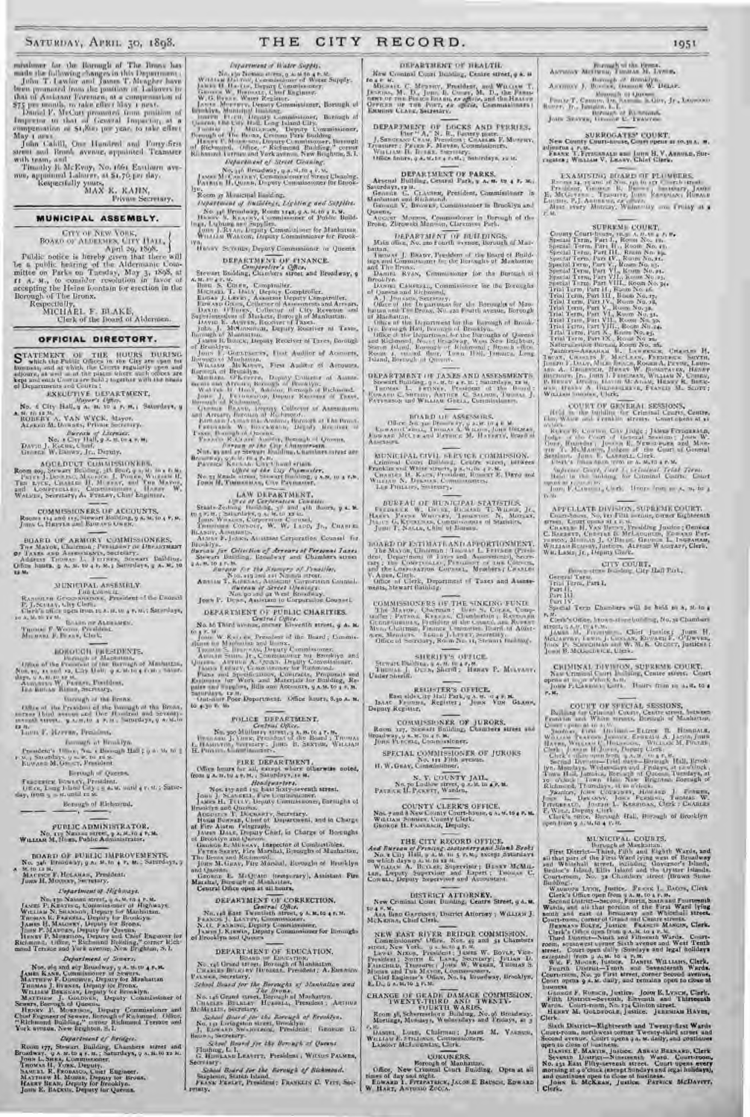missioner for the Borough of The Bronx has made the following changes in this I )epartlnent : John T. Lawlor and lames T. Mcngher have been promoted from the position of Laborers to

that of Assiannt Foremen, at a compensation of<br>175 per teamls, to take efter May 1 next.<br>During P. McCart promoted from publication of<br>Imperior to that at General Imperior, at a<br>compensation at \$1,800 per year, to take eff

John Cahill, One hundred and Forty-first street and Brook avenue, appointed Teamster with team, and

'Timothy L'. McEvoy, No. 1661 Easthurn ave-nue, appointed Laborer, at \$t.76.per day. Respectfully yours, MAX K. KAHN,

Private Secretary.

### MUNICIPAL ASSEMBLY.

GITY OF NEW YORK,<br>
BOARD OF ALDELMES, CITY HALL,<br>
Public notice is hereby gaven that there will<br>
be a public hearing of the Aldermanic Committee on Parks on Taciday, May 3, 1898, at<br>
f A. M., to consider resolution in favo

#### OFFICIAL DIRECTORY.

 $\begin{array}{ll} \textbf{STATEMENT} & \text{O}1 & \text{TIIE}, & \text{HOLUSE} & \text{DURLING} \\ \textbf{S\_with} & \text{Bub} & \text{Pub} \\ \textbf{from} & \text{Bub} & \text{A} & \text{Aub} \\ \textbf{from} & \text{Bub} & \text{A} & \text{Bub} \\ \textbf{from} & \text{Bub} & \text{Bub} \\ \textbf{from} & \text{Bub} & \text{Bub} \\ \textbf{from} & \text{Bub} & \text{Bub} \\ \textbf{from} & \text{Bub} \\ \textbf{in} & \text{Bub} \\ \textbf{in}$ 

AQUEDUCT CLAMMISSIONERS.<br>Room so, Straats Bellong, 20 Belly a 10 10 10 M.<br>Parri J.Deceme: Marcie: J. Porte, Warner H.<br>The Lytz, Channe H. Messar, and The Mayon.<br>2011 Leaders Strather, Charles Walder, Walder, W.

COMMISSIONERS OF ACCOUNTS.<br>Rooms tt4 and its Stewart Building, 9 A.M. to 4 P.M.<br>John C. Herris and Euward Owes.

BUARD OF ARMORY CUMMISSIONERS,<br>The Mayor, Unitrod, Pursoner or Decisions<br>of Janes and Assembly residency.<br>Address Thomas L. Furning Servant Building.<br>Office heats, p A. 30, 10 4 b, S. : Servicers, p A. 35, 10<br>U.S.

#### MUNICIPAL ASSEMBLY.

1'HE COUNCIL. RANDOI.PH GeoG1-N11EIntss, President of the Council P. J.SccI.Lv, l.ity Clerk. Clerk's oitce open from to A. M. to 4 P. ht.; Saturdays, 10 A. M. to tS M. BOARD OP ALDERMEN. THOMAS F. Woons, President. MICHAEL F. BLAKE, Clerk.

HOROLCON PRESENTSES.<br>
The of the Presence of the Boyragh of Machatras,<br>
Now, e., as and on, Eric Unit boyragh of Machatras,<br>
Now, e., as and on, Eric Unit p is noting read, Samuel.<br>
Area and the Presence, President,<br>
The K

Borough of the Bronx. Office of the President of the Borough of the Bronx, cornerlhird avenue and One Hundred and Seventy-seventh street. 9 A. 51,10 4 P.7.1 ; Saturdays, 9 A. It. to IS .M.

Louis F. HAFFEN, President.

Borough ot Brooklyn.

President's Office, No. t Borough Hall; 9 A. M. to  $1$ <br>P. M. ; Saturdays, 9 A. M. to 12 S.<br>Kaward M. Grout, President.

Borough of Queens.

FREDERICK BowLEY, President. Ofl.ce, Long bland City ; 9 A.M. until 4 r. H. ; Sattlr. day, front g A. M. until 12 Si.

Borough of Richmond.

## PUBLIC ADMINISTRATOR.

No. 119 Nassau street, 9 A. M. to 4 P, M, WILLIAM M. Hoes. Public Administrator,

BOARD OF PUBLIC IMPROVEMENTS.<br>No. 346 Broadway, 9 A. M. to 4 P, M.; Saturdays, 9<br>A MACERET P, HOLAHAN, President.<br>John H. Mooney, Secretary.

## */Department o/ highways.*

No. the Nassan arrivi, a A. M. (6 a F. M. Course F. Kukaya, Wentian N. Statistics, London and Theorem Highwaya, Tunnas K. Bearch, Deputy for Brooklyn.<br>Tunnas K. Bearcht, Deputy for Brooklyn.<br>Tunnas K. Bearcht, Deputy for B

## *Department o/ Sewers.*

Nos. als and sey Broadway, y A. S. W 4 P. M. MARINGTON MATTER WE ASSET, ORIGINAL MATTER WE REMOVED TO METHOD WAS 1 UPON THE WALL THAT WE ARE WELL AS NOT THE MATTER OF THE COLOR MATTER (SCOTT THE COLOR MATTER of the COLOR M

*Department of Bridges.*  Room 177, Stewart Building, Chambers street and<br>Broadway, 9 A at the street and Joule L, State, Championer,<br>Joule L, Suite, Depuis, Championer,<br>Thomas, H, Vonk, Depuis, Championer,<br>MATHEW R, Monday, Chemical Engineer,<br>MATH

Na. t5o Nassau street, 9 A. M to 4 P. M. WILLIAM DAL (ononissioner of Water Supply. JAMES H. I IA' I.lu, Deputy Commissioner. GRUE(. W. Iil Kt,s sf.l , (-hlef Engineer. W.G.L'vsNF, Water Register. JASDS Mot Ileputy Contmissioner, Borough of Brooklyn, Municipuf I:uiltlin¢. JosFPH Elicit, Deputy Commissioner, Borough of t)ueens, Old City Hall, Long Island City. 1'In,MAS J hIuLLICAN, Deputy Commissioner, Borough of The Stuns, Crotona Park Building. H ENry 1'. IN,Rl:1so, Doputy Cummisstoner. Borough of Richmond. f )ffice, " Richmond Bit'Iding," corner Richm ond'lerraceand York avenue, New Brighton, S. 1.

*Department oI It'a(er Suf/,l) .* 

THE CITY

*Department of Street Cleaning.* 

No. 346 Broadway, 9 A. A. 10 4 P.7.1.<br>JANA: M. CAKTARY, Commissioner of Street Cleaning.<br>PATRICK H. QUINN, Deputy Commissioner for Brooklyn. Room g7 Municipal Building.

*17e/arturent of Buildings, Lighting and Se/j'lies.*  See an Memberry, Rostn 1441, g.s. E.to 3 2, M.<br>Henry S. Kanass, Commissioner of Public Build-<br>Ing., Licham are supplies.<br>The Commissioner for Mania and Marian Winton Water.

volks av Screens, Deputy Commissioner or Queens.

DEPARTMFN'1' OF FINANCE. Coruftrolter's Office.

Stewart Building, Chambers afrost and Broadway, 9<br>
3. 1986 S. Contre, Comptvoller, Marchart E. Data J. Lerwy, Benedict Deptry Comptvoller, Eros and J. Lerwy, Benedict Deptry Comptvoller, Eros and Greens, Collector of Marc

LAW DEPARTMENT.

Staats-Zeiting Hordischer Common, p.c. M.<br>In a P. H. (2000) (1960) (1960) (1960) (1960) (1970) (1980)<br>Jones Wessen, Corporation C. 2000), Theorems Corporation C. W. Jacob, Jr., Cannan<br>Kitany, Amazon, M. W. Laco, Jr., Canna

Hurschip (or Collection of Access at Personal Janes<br>Stewart Building, Exemberg and Chambers street<br>A. 0. 10 (c) and the Stewart and Chambers street<br>A. 0. 10 (c) and its Name (or The Stewart and Collection Collection)<br>Annu

DEPARTMENT OF PUBLIC CHARITIES. Central Office. No. 66 Third avenue, corner Eleventh street, 9 A. M.

for  $\mathbf{y} = \mathbf{y}$ ,  $\mathbf{y} = \mathbf{y}$ ,  $\mathbf{y} = \mathbf{y}$ ,  $\mathbf{y} = \mathbf{y}$ ,  $\mathbf{y} = \mathbf{y}$ ,  $\mathbf{y} = \mathbf{y}$ ,  $\mathbf{y} = \mathbf{y}$ ,  $\mathbf{y} = \mathbf{y}$ ,  $\mathbf{y} = \mathbf{y}$ ,  $\mathbf{y} = \mathbf{y}$ ,  $\mathbf{y} = \mathbf{y}$ ,  $\mathbf{y} = \mathbf{y}$ ,  $\mathbf{y} = \mathbf{y$ 

POLICE DEPARTMENT,<br>Central Ordinary<br>No. 300 Mulberry street, 9 A. M. to 4 P, M,<br>Union Am, J. (Union B. Sexton, William B.<br>L. Hasiilton, Normalism and the Board ; Thomas<br>H. Pittlines, Commissioners,

FIRE DEPARTMENT,<br>College hours for all, except where otherwise noted,<br>from g A. M. to 4 P, M. ; Saturdays, rz M.

Headquarters. Nos. x57 and ,5g East Sixty-seventh street. JOHN J. SCASNELL, Fire Commissioner. JAMES H. '1ct Lv, Deputy Contntissioner, Boroughs of Brooklyn and Queens. AUGUSTus T. DucHARrY, Secretary. HUGH BONNER, Cruet of Department, and in Charge of Fire Alarm telegraph. JAMES DALE, Deputy Chief, in Charge of Boroughs of Brooklyn and Queens. GEORGE E. MMUEKAY, inspector of Combustibles. PETER SEERY, Fire Marshal, Boroughs of Manhattan, The Bronx and Richmond. JOAN 111. GRAS, Fire Marshal, Boroughs of Brooklyn and Queens. GEORGE E. MLQrATD (temporary), Assistant Fire Marshal, Borough of Manhattan. Central Office open at all hours.

DEPARTMENT OF CORRECTION.<br>Central Office.<br>No. 148 East Twentieth street, 9 A. M. to 4 P. M. FRANCIS J. LANTRY, Commissioner.<br>N. U. FANNING, Deputy Commissioner.<br>Jaams J. Kirswin, Deputy Commissioner for Boroughs<br>of Brooklyn and Queers

DEPARTMENT OF EDUCATION.<br>BOARD OF EDUCATION.<br>No. 146 Grand street, Borough of Manhattan.<br>CHARLES BULKI SY HUBBELL, President; A. EMERSON '<br>PALMER, Secretary.

*School Board for the Boroughs of Man/tad/an and*  The Bronx. No. t46 Grand street, Borough of Manhattan.

CHARLES BULKLEY, HUBBELL, President; ARTHUR<br>*School Board for the Borough of Brooklyn.*<br>*School Board for the Borough of Brooklyn.*<br>*J. Euwenn Swansiro*, Brooklyn.<br>BRUtt<sub>in</sub>, Secretary.

*School Board for the Borough of Queens.*  Flushing, L. I. G. HOWLAND LEAVITT, President ; WILSON PALMER,

Secretary.

*. School Board for the Borough of Richmond.*<br>Stapleron, Staten Island.<br>FRANK PERLET, President; FRANKLIN C. Vtrr, Seeretary.

DI'a'ARTMEN'r t'F IIEA].TH.

RECORD.

New Crinunal Court Budding, Centre street, 9 A. M four M. C. Mentery, Freddess, and Wasses T. Monroe D. Comey, N. D., the Passes<br>Develop. M. D., Joan B. Comey, M. D., the Passes<br>nave of the Passes Boans, or agains, and the Haater<br>General De the Port, decreases. Communicat 1951

Borough of the Bronx.<br>ANTHONY MC(IwEN, THOMAS H. LVNCR. Borough of Brooklyn.<br>ANTHONY J. Busics, Geomet W. DELAP.

Borotich of Queens. Ptlll.tl' T. CRONIN, I)11.SANIURL S.I;Ill', Jr , I.F.i,N,tl+tl Rn ti' r, Jr., Jatmtica, I.. 1. Borough of Richmond. J UHN BEAVER, GEORGE C. TRAVI'fti,.

SURROGATES' COURT, New County Court-house, Court opens at 00,30 A. M. adjourns 4 P. M. FRANK I'. FITZGERALD and JOHN H. V. ARNOLD, Sur-ragates ; WILLIAM V. LRAR?. Chief Clerk.

**EXAMPSING BEARD OF PLUMBERS**<br>
Resons  $\mathbf{a}_1$ , and  $\mathbf{b}_2$  becomes the presentation of the state<br>  $\mathbf{F}_1$ , and  $\mathbf{b}_3$ ,  $\mathbf{b}_4$ ,  $\mathbf{b}_5$ ,  $\mathbf{b}_6$ ,  $\mathbf{b}_7$ ,  $\mathbf{b}_8$ ,  $\mathbf{b}_7$ ,  $\mathbf{b}_8$ ,  $\mathbf{b}_7$ ,  $\mathbf{$ 

 $\begin{tabular}{l|c|c|c|c|c} \multicolumn{1}{l}{\textbf{SUPRAM}}&\textbf{COURT},\\ \multicolumn{1}{l}{\textbf{Sposial Term, Part 1, Rom A}, $t_1, t_2, t_3, t_4, t_5, t_6, t_7, t_8, t_9, t_9, t_1, t_9, t_1, t_9, t_1, t_1, t_1, t_2, t_2, t_3, t_1, t_1, t_2, t_3, t_4, t_1, t_2, t_3, t_4, t_5, t_6, t_7, t_7, t_8, t_9, t_1, t_1$ 

COURT OF GENERAT, SESSIONS. IL-Id in the building for Criminal Courts, Centre, Elm, White and Franklin streets. Court opens at TIT

With the Continue Car Judge : Jakob Fernessian,<br>Jodge - Colo Court of General Sections : Jesus W.<br>Court Courtes : Jesus R. Memorgans and Memorgan<br>Section : Judge - Later Court of General<br>Section : Judge - Later Court of Ge

*Su/,erne Court, Fart I t Criminal Trial Terse.*  Held in the budding for Criminal Courts. Court opens at to construct to A.M. Henry from roots, so to 4.

APPELLATE DIVISION, SUPERMICOURT,<br>
Cont-Soon, No, Its Fills sening, owner Eighteents<br>
Channel H, Vax Herry, Products<br>
C. Exempts, Capper, Products<br>
C. Exempts, Appellance Melongium, Toward Period<br>
Primar H, Vax Herry, Appe

CITY COURT. Brown-stone Building, City Hall Park.

General Term. l'rial perm, Part I. Part It. Part III. Part IV. Special Term Chambers will be held so A, M. to 4

P. M. Clerk's Office, brown-stone building, Nu, 32 Chambers

street, 9 A.M. to 4 A.M.<br>JANTES Niccarrilly, Lewis Chief Justice; Johns H.<br>John P. Schucuman and W. W. K. Olco rr, Justices; 1.<br>John B. McGoldrick, Clerk.

CRIMINAL DIVISION, SUPREME COURT,<br>New Criminal Court Building, Centre street. Court<br>please at I 0.30 o'clock A.M.<br>John F.Carroll, carrier. Hours from to A.M. to 4<br>P.H.

COUNT OF SPICIAL SESSIONS,  $\begin{tabular}{|l|l|} \hline \textbf{EVALU}}{\textbf{BVALU}}=\textbf{BVALU} & \textbf{EVALU}}{\textbf{BVALU}}=\textbf{BVALU} & \textbf{EVALU}}{\textbf{BVALU}}=\textbf{BVALU} & \textbf{BVALU}}{\textbf{BVALU}}=\textbf{C.} & \textbf{BVALU}}{\textbf{BVALU}}\times\textbf{B.} & \textbf{BVALU}}{\textbf{BVALU}}=\textbf{D.} & \textbf{BVALU}}{\textbf{BVALU}}\times\textbf{D.} & \textbf$ 

MINIGHE AL COURTS, there is the background of Markinskin, which and Figure was of the background and Watch and Watch and Figure was of Brundwick Bellow's Island, Billis Island and the Uyster Islands.<br>Bellow's Island, Elli

Georges F. Roesch, Justice. John K. Lynch, Clerk.<br>
Fifth District-Seventh, Eleventh and Thirteenth<br>
Wards. Court-room, No. 154 Clinton street.<br>
HENRY M. Gotheroodin, Justice. JEREMIAH HAYES,<br>
Clerk.

Sixth District—Eighteenth and Twenty-first Wards Court-room, northwest corner Twenty-third street and Second avenue. Court Opens g A. M. daily, and continues

open to close of function, button. Ana are Bankawn, Clerk<br>Severan District-Ninsensity Ward, Court-troom, No. 131 East Fifty-severan areasy.<br>No. 131 East Fifty-severant areas. Court-upens severy<br>morning at a close (margin E

P, 91,

DEPARTMENT OF DOCKS AND PERRIES,<br>
J. Sancrace Craw, Pierder, Calaring and Perries,<br>
J. Sancrace Craw, Pierdem, Calaring K. Mostur,<br>
District: Pierd, K. Maylin, Commissioner,<br>
Visitian R. Mostur, and the Sancrace,<br>
Visitian

Saturdays. 19 M.<br>George C. C. Clausen, President, Commissioner in<br>Manhattan and Richmond.<br>George W. Browns, Commissioner in Brooklyn and

Aucust Morros, Commedoner in Borough of the Bronx, Zbrowski Mansion, Claremont Park. DEPARTMENT OF BUILDINGS. Main office, No. xzo Fourth avenue, Borough of Man-

hattan.<br>'I husses J. BRADY, Pre-ident of the Board of Build-<br>ings and Commissioner for the Boroughs of Manhattan<br>'Danu:1. Ryan, Commissioner for the Borough of<br>Brooklyn.

Diason Clearing, Commissioner for the Boroughs<br>of Queens and Eighnand, Andrea Constant Commissioner for the Boroughs<br>A.J. Jeanson, Serrecary,<br>A.J. Jeanson, Serrecary, Warden for the Borough of Monden<br>battan and The Diason,

**GEPARTMENT (# JAMES AND ASSESSMENT):**<br>Sowart Building **o** - M, to the function of the Hough<br>Tensing I, the property of the Hough<br>Kaysano C, puring the Hough C Salamo, Thomas J,<br>Kaysanon and Witting Gene, Commissioner,

BOARD OF ASSESSORS.<br>Office No. 3so Dieser by, g A.M. to 4 P M.<br>EDNAR, M. to 40 P. to 40 M. to 40 M. The Patrick M.<br>EDNAR, M. Culture and Patrick M. II.stopsy, Illiand of

MENICIPAL CIVIL IS INTER CRMMISSION.<br>Leimond Court Records, Caroline street, private Facebook and Wide street, private Party.<br>Caroline and Wide street, private Party.<br>Caroline N. Degrees, Commissioners.<br>William N. Degrees

BUREAU OF MUNICIPAL STATISTICS.<br>Formatik W. Circus, Boston T. Wiener, Jr.,<br>Harry Payne Wieners, Trousmose Dr. Morrier,<br>John 'F. Nagle, Chief of Bureau.<br>John 'F. Nagle, Chief of Bureau.

The Mayon, United a Net AND ORTHOMPIST.<br>The Mayon, United as the Herrican (Press of the Mayon, Herrican (Press)<br>depth Department of Diversion Assessment Concerns<br>and the Concernstate (Pressure of the Concerns), Newton,<br>W.

COMMISSIONERS OF THE SINKING FUND.<br>The Mayor, Chairman , Unit S, Coron, Company, Chairman , Representation<br>Geometric Systems , Chairman , Representation<br>Mitt, Chairman Funder , Chairman Barn of Atternation<br>Agent , Hand Jul

SHERIFF'S OFFICE. Stewart Building, 9 A.M. Or 4 P.M.<br>Thomas J., Dunn, Sheriff; Henry P. Mullvany,<br>Under Sheriff.

REGISTER'S OFFICE.<br>East side City Hall Park, 9 A, M. O 4 P, M.<br>Deputy Register, Register; John Von Gaann,

COMMISSIONER OF JURORS,<br>Room 127, Stewart Building, Chambers street and<br>Broadway, 9 A. M. Con missioner.<br>John Terrich, Conmissioner.

SPECIAL COMMISSIONER OF JURORS<br>No. 151 Filth avenue.<br>H. W. Gray, Commissioner.

COUNTY CLERK'S OFFICE,<br>Nos. 7 and 8 New County Court-house, g A. w. to 4 P. m.<br>Wattan Solivier, County Clerk.<br>George H. F Atomach, Deputy.

THE CITY RECORD OFFICE.<br>
No. C Car Cristopher Assessment Stand Books<br>
No. C Car Unit is a solution of the assessment Standard<br>
on which days a solution of the system of the WCM<br>
Lead of the Supervisor and Associates.<br>
Cowa

DISTRICT ATTORNEY. New Criminal Court Building, Centre Street, 9 A.M. to 4 P. M-ASA BIRD GARDINER, District Attorney ; WILLIAM J. MCKENNA, Chief Clerk.

NEW EAST RIVER BRIDGE COMMISSION. Commissioners' Office, Nos. 49 and 51 Chambers street, New S ork. 9 A. nL to 4 P.7.1. LEV,ts NIXON, President ; JAMES W. BOYLE, Vice-President; SMITH E. LANE, Secretary; JULIAN D. FAIRCHILD, Treasurer: JOHN W. WEBER, THOMAS S. Moose and' THE MAYOR, Commissioners. Chief Engineer's Office, No. 84 Broadway, Brooklyn, E. D., 3.5.51.10 51'.M.

CHANGE OF GEADE DAMAGE COMMISSION,<br>
1 WENTY-THIRD AND TWENTY-<br>
Room 58, Schermerhoin Building, No.96 Broadway.<br>
Mertings, Mondays, Wednesdays and Fridays, at 3

P. M. DANIEL LORD, Chairman ; JAMES M. VARNUM,<br>WILLIAM E. FULLINGE CHAIRMANDERS.<br>LAMONT MELICENTAS, Clerk.

CORONERS.<br>
Borough of Manhattan.<br>
Thes of day and night.<br>
EDWARD 1. FITZPATRICK, JACOB E, BAUSCH, EDWARD<br>
EDWARD 1. FITZPATRICK, JACOB E, BAUSCH, EDWARD<br>
W. HART, ANTONIO ZUCCA.

N. Y. COUNTY JAIL, No. 7o Ludlow street, 9 A. M. to P, M. PATRICK H. PICKEIT, Warden.

Assessment Company of the Company of the Company of the Company of the Company of the Company of the Company of the Company of the Company of the Company of the Company of the Company of the Company of the Company of the C

DEPARTMENT OF PARKS. Arsenal Building, Central Park, 9 A. M. to 4 P. M.;

Queens,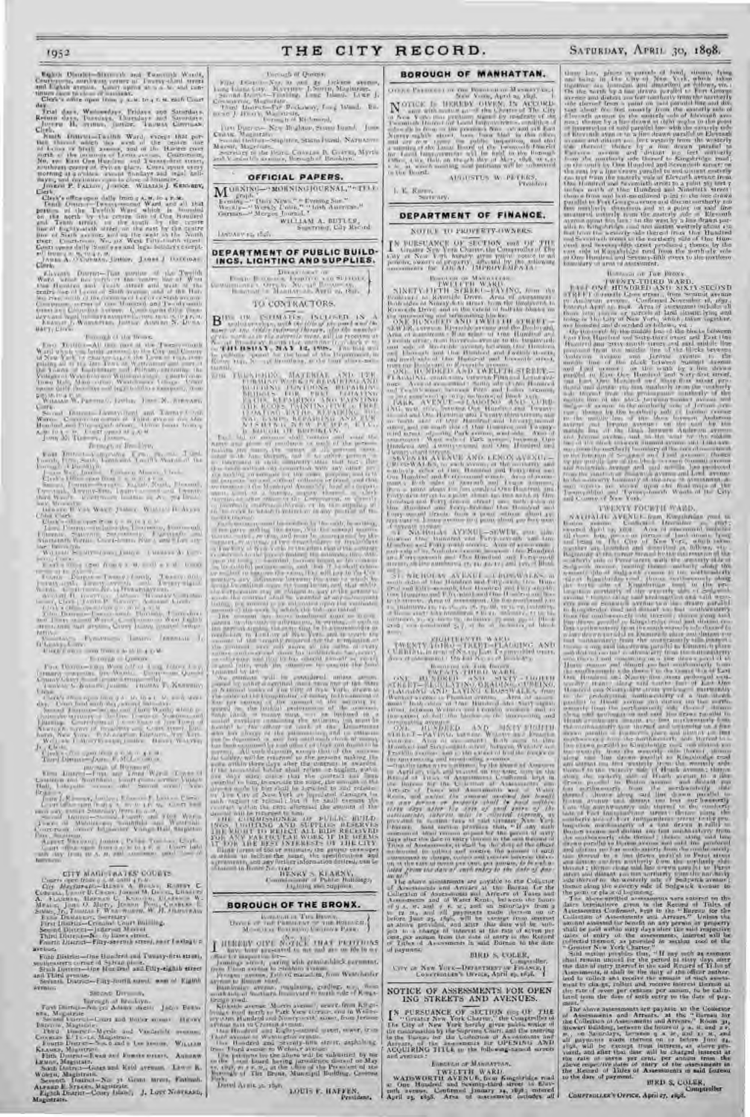Exploit District - Sixtee als and Teamingh Woods,

day. Wednesdays, Tridays and Saturdays.<br>Return days, Tussdays. Duralitys and Saturdays.<br>Thursday H. Stiner, Justice. Thursday Costinas.

 $\begin{tabular}{l|c|c|c|c|c|c|c} \multicolumn{1}{c}{\textbf{N} with $D{\text{M}}$ with $M{\text{M}}$ is the $M$ and $M{\text{C}}$ is the $M$ and $M{\text{C}}$ is the $M$ and $M{\text{C}}$ is the $M$ and $M{\text{C}}$ is the $M$ and $M{\text{C}}$ is the $M$ and $M{\text{C}}$ is the $M{\text{C}}$ is the $M{\text{C}}$ is the $M{\text{C}}$ is the $M{\text{C}}$ is the $M{\text{C}}$ is the $M{\text{C}}$ is the $M{\text{C}}$ is the $M{\text{C}}$ is$ 

Clearly office space daily from any  $N$  and a rest of the final form of the Termin and the final field of the final field of the final field of the final field of the contract of the final field of the final field of the

Eleventh District—That portion of the Twelfth Ward which lies Ponta of the coot re line of West One Hundred and Tenth street and west of the centre line of Lenox or Sixth avenue, and of the liar-lem river north of the :crmmu"'I Le cox+.rsixth av,nue. Court-room, corner of line Hundred and Tmccnty-sixth street and Colu in bus avenue. Court opens d.tily (l-un-dacs and legal holidays excepted), from to x. al, to 4 t'. v. FRAxas 1. NoecesrER, Justice. ADOLPH N. Dt sI.t-HAL'T, Clerk.

#### Borough of the Bronx.

First District—All that part of the Twenty-fourth Ward which it as lately annexed to the City and County of New York by chapter a\_; of the Laws of tea;. com-prising all of the late Town of \Vestche=ter and part cd the [on us of Ea,tchester and Pelham, including the Villages of Vale ticld and VVilliantsbrlde. Court-room, 'Sown Hall, Main street, Westchester 1- ilhtge. Court opens daily (s,undays and legal holidays excepted;, from 9 A, SI. tO 4 P. 't. WILLIAM W. PRETING, JUSTIN, JOHN N. STEVARY,

Sacrossic Districts Licensystem) and Taurus Cook

Borough of Brooklyn. First District—Comprising First, Second, Third, Fourth, Fifth, Sixth, "lentil and 1\celfth Wards of the Borough of Bruokl) S. J \Er. Justice. Fnw'.xc❑ NI,+Rax, Clerk. Clerk's Udice open from e A. M. to a t'. xi. Sec,.rd Di,t act—Seventh. Er\_hth, -Ninth, F.l,•.entIs, T.centteth, 1\centy-first, "l wenty'- a.cond and 't wenty-third Wards. Court-room Icrateel at 's. X44 Fruad-

way, Brooklyn. (3ERARV B. VAN \TART, Justice. \VILI IA?I H. ALl.Fy Chief Clerk. Clerk's 'truce open fry:•m 9 A. Dr. to a P. a. 'third District—Includes the Thirteenth, Fourteenth, Fifteenth, Sixteenth, Secentereth, Eighteenth and Nineteenth \\'ard-. Court-house, Nos b and 8 Lee ave-nue Brooklyn.

WILLIAS! SCFtytrZSPatlN, Justice. CHARLES A. CoN-R.4DV, Clerk. Clerk's of oe open from g A. M. Until 4 i' st. Court (eens at to e'cl.0k. Fourth District — Twenty - fourth, Twenty- fifth, 'twenty-sixth, Twenty went;; and 1 wept)'-eighth \1"ards. Cot:rt-room, No. 14 Howard avenue. Auot PH H. G EI-r;:.c. lusuce. Us-esiAy (;oHLtsG-nrRST, Clerk ; JAxtrs P. Sl.N .~oro, Asstant Clerk. C+rk's odes Open from g ,. xi. t.- q. 1-. Fifth District— Twenty -ninth, thirtieth, Thirty-first and 'Thirty - second \Wards. C urt-room on \\ 'eat Eighth Street, near Surf avenue, Coney Island (located tempo-rarilyl.

Current Furnithers January (Montan, J. )<br>O'Leary Carry<br>O'Leary on the component of the CM.

 $\begin{tabular}{|c|c|c|c|c|c|c|} \hline & For & $10000$ & $10000$ & $10000$ & $10000$ & $10000$ & $10000$ & $10000$ & $10000$ & $10000$ & $10000$ & $10000$ & $10000$ & $10000$ & $10000$ & $10000$ & $10000$ & $10000$ & $10000$ & $10000$ & $10000$ & $10000$ & $10000$ & $10000$ & $10000$ &$ 

 $\mathbf{F}$  . District the Library of Harmond Wards (Towns of the  $\mathbf{F}$  and Third Wards (Third Wards of the  $\mathbf{F}$ 

Castletcn and Northfield,, Court-room, former \ illage Hall, Lalay ette ass onus and Second street, New Brighton. I-HN J. KENNEY, lu,tice; FRaxcis F. LExtay, Clerk. Coot office open I ca m 9 A. II, to 4 e. xi. Court held each dac, except Saturday, from 10 A. M. Second Listnct—iecm ld, Fourth and Fih \Vards h Towns of Middletown, Southfield :old Weetbeld,. Court-room. former Edgewater Village Hall, Stapleton Park, Stapleton. ALBERT REYNAOT, Justice ; I'F1 ER TIER\A,, Clerk. Court office open front , A. xi. to 4 t'. rob Court held ,•ach day from 10 A. st. and continues until close of bus ins 5,,

### CITY MAGIt-1'KATES' COURTS.

 $\begin{tabular}{l|c|c|c|c|c} \hline CFT & CFT & CFT & CFT & CFT & CFT \\ \hline \hline CFT & AFT & BFT & CFT & CFT & CFT \\ \hline CFT & AFT & CFT & CFT & CFT & CFT & DFT \\ \hline CFT & AFT & CFT & CFT & CFT & CFT & CFT \\ \hline A. & AFT & BFT & CFT & CFT & CFT & CFT \\ \hline A. & AFT & BFT & CFT & CFT & CFT & CFT \\ \hline A. & AFT & BFT & CFT & CFT & CFT & CFT \\ \hline A. & AFT & BFT & CFT & CFT & CFT & CFT \\ \hline A. & BFT & DFT & C$ 

avenue.

Ford District-One Hundred and Twenty-first struct, southeastern corner of oylvan place.<br>Sixth District—Use Hundred and Fifty-eighth street<br>and Third avenue.<br>Seventh District—Fifty-fourth street, west of Eighth

Next Dirt (1980) of British Corp.<br>
Tark Dirtrict - Angle Adden sheld a Jacob British Magnitude - Second Values and Harbor Microy Shelbook Dirtrict Magnitude - The Corp.<br>
The Corporate Elisabeth Corp.<br>
Corporate Elisabeth C

Seventh Doubalt—No, 31 Grant street, Farland, ALFRED E. Streets, Magistrate.<br>Eighth District—Coney Island, J. Lord Nostrand, Eighth District—Coney Island, J. Lord Nostrand,

1952 THE CITY RECORD.

#### Torough if Queens

 $\mathcal{V}(\mu)$  . Consider New to and Ly Jackson around Lands to the Martin Boundary of the Boundary of the Boundary of the Boundary of the Boundary of the Boundary of the Boundary of the Boundary of the Boundary of the Bound

Tien Duer also Regulture, Stand Burd, Jose<br>Crathe Magazzine Stand Due L. Science Standard<br>Standard Magazines, Standard Standard<br>Magazines, Magazines, Standard V. Standard V. Standard Standard

OFFICIAL PAPERS.

 $\mathbf{M}^{\text{onstr}}$ <sub>rdin</sub>g) worstschouwar," til 1

Essain, '' Paris News, '' '' Evening Sur<br>Ket- kl y-'' Weekly Louis, '' '' Isish American, ''<br>German—'' Merger Journal. ''<br>William A., GETLES,<br>Sinstring, Cily Rey sel Lastin tive to, their

#### DEPARTMENT OF PUBLIC BUILD-INCS, LIGHTING AND SUPPLIES.

1) **Direct and Security** and September of the Security of the Security of the Security of the Security of the Security of the Security of the Security of the Security of the Security of the Security of the Security of the

#### TO CONTRACTORS.

 $\mathbf{B}^{(\mathrm{Pb})\to\mathrm{UP}}$ , ISBN 6-1-6-8, INCLOSED IN A  $\mathbf{B}^{(\mathrm{Pb})\to\mathrm{PU}}$  and  $\mathbf{A}$  and  $\mathbf{A}$  are controlled to the neutral behavior.

The mass of the state of the state of the state of the state of the state of the state of the state of the state of the state of the state of the state of the state of the state of the state of the state of the state of t

HENRY S. KLARNV, G. Sassi-si,ner of Public Buildings, and supplies.

### BOROUCH OF THE BRONX.

International Title Branch, (2004)<br>| Milwritter Garmany, Cambridge Banch, 1986<br>|- Milwritter Garmany, Cambridge Banch

(No. 13,) I HEREBY GIVE NOTICE THAT PETITIONS have been pre-cited to me and are on the in my' office fir inspection for— Jennings street, paving with granite-block pavement, from Unionavenue to Stebbins avenue. Prospect avenue, 1'eltdrd macadam, from Westchester avenue to Boston road. Bainbridge avenue, regulating, grading, e'.c., from south side of Southern Boulevard to north sale of Kings-

Research and the Pack View German, and in Weiterstein and the United States of the United States (see the second in Weiterstein and the United States (see the United States) and New York (see the United States) and Equati

#### BOROUCH OF MANHATTAN

I I I t n r I' I: I. I'r N I, I r n r: B"l. l't ,. u', I \ I •.. n t I i t,, I N etc 'mI ISO, .l prll zl, t8.,\$. I  $\begin{tabular}{l|c|c|c|c|c|c|c} \hline \textbf{N} & \textbf{OTCE} & \textbf{D} & \textbf{D} & \textbf{D} & \textbf{D} & \textbf{D} & \textbf{D} & \textbf{D} & \textbf{D} & \textbf{D} & \textbf{D} & \textbf{D} & \textbf{D} & \textbf{D} & \textbf{D} & \textbf{D} & \textbf{D} & \textbf{D} & \textbf{D} & \textbf{D} & \textbf{D} & \textbf{D} & \textbf{D} & \textbf{D} & \textbf{D} & \textbf{D} & \textbf{D$ 

AUGUSTON W. PETERS.

I. B. Ruins, becre'ary.

#### DEPARTMENT OF FINANCE.

#### NO'IIt-1:. It) 1'12U1'F.R'IY-UN-NER.S.

**DEPARTMENT OF FINANCE,**<br>IN GREATER TO PROPERTY-OWNERS,<br>IN GREATER NEW OF SECTION TO A DISPLACE OF The Comptant of The Comptant of The Comptant of The Comptant of The Comptant of The All persons, owners of property), after ted by the Indiawang incomments for LOCAL IMPROVEMENTA:

Bt1Rt ,l'(,11 I,I- \l.a\11.\'1'I-AN. FNVE .I'I'll \1 ARU. NINF1'V-FIFTH `,IRLEI—L'A\ING, fiom the L'oulcva r to Rive,,ide I )rive. Area of assessment Both -ides of Ninety-ti th street, tn,m the Cotdecard to kit cis. tie Drier, and to the c<tent of hulf the blacks on file ntcrsrClung and tcrnt:natin; blocks. (ONE HLNi)RED AND IWELF'l'H STRF;ET.- SG\\ NR, t clues is kicereide avemme an(] th,' hushes aid. Area ',t u-sC"-siut'nl : B,th sides of ( Ire Hurdred and I w+ Cth sn-ceI, tru mu; River, de av,:,- ue to Sits • I;uulevard; La t side ul Rit er-ide acc slue, between ( )nc Hundred and I-.leveutfs and Unc Hurtdrecf and T belts h sU eels, and north stale nt (lug Huncred and Eleventh street, trait the B.lulevard to ILv erside alellue. ((NF: III NInRED Ad,!) 'r ELFTH SIREET.- I-'LAe,GlNhJ, so:tth side, between Fittnand Ltnoxave-nue-. Area of as-e-sment : 'oath'lde s ( Inc Hundred and 1\vclftb street, betwveen Filth and Lcnnx ::venues, un lots numl ercII 4j to fg, mclu- i.c, of Block 15)5. LARK A\'ENI;E,—FLAD(;INt; AND CCRB-ING, west siic, between lhle Hundred and Twentc - ccmd and (Jib Hundred and Twenty'-thiru streets, and s•n furs Ii si,lc of One Hundred and 'I wenty second street, and on south side I f One Hundred and Twenty-ti ird street. adjomin4 Park avenue, west side. Area of asses-ment : A1'eIt side of fork avetntc, Let w-ecn Uno Hundred and Iwenty-second and Uue Hundred and Twcnh -tlurrl streets. SE\"};\'fH AVENUE AND LENOSAVF,NUi':- CkUtir-'1A A1-RS, nn each avccuc, at the northerly and s, uthc niy sl ,s of ((ne Hundred and forty-firt unit I One Hundred and Foi ty-sccund s,reetr. Area ufu'ses.- ntent : BI th sides ut Seventh and Lenox asen It-=, front a point about r;z 6\_e eouth of Une Hand red am' F.rrty-first si rc et to a pi,int id,out toy lees north ut One Hundred and Forty-second street ; in I both s des of One Hundred and Farty-lint and One Hundred and Forty-second s!rects, Irom a point smsu.sie about 45., feet east of Lennox avenue to a pa smut about 4o0 ft-,t west + f oevc nth :I;'mate, tit'. NICHULAv AVENUE—SEWER, east side, between One hundred and For.y-scv,nth and One Hundred and Forty-ninth streets. Area of asses-men; : cast side of t. Nichol.rs avenue, between Un.: Hundred and F,rty-seventh and Ilne Hundred and F, rte-ninth street., on lots mothered ;7, 44, 49, lac and r.6, I,t Block

ST, NICHOLAY AVENUE— CROSS AT ALL AND AND ALL AT THE URNE HUNGARY AND A  $\alpha=1$  and  $\alpha(1)$  , and  $\alpha(2)$  , that therefore if and two energy of the state of the state of the state of the state of the state of the state of the state of the state of the state of the state of the state of the sta

TWENTY HORITHATE WARD. CONTROL AND CURRIVG, in area of No. cay have Twenty-third traces. \_Area .t :roses met[ : On Lot Nu, as oh 1l11,ck 679.

B ,hsuUGH uF 'IIiE Be•osx. T\VLA 11 -'h IfIRD ShARD. r1Ni HL \DREG AND SIS'1'1' - F:I(lFI I'H 'I-RF.ET—RE,;L'LaTINi;, GRAIUINtt, CCR1;ING, f'l.Al,l(.lNhJ AND LA\lNi, CRU»\1ALKo, fruw \Ccbstvr avenue w Fr.lnkliu oven ue. Area of assess. meat: B, th siou: of (lure Hundred and suty-ciglHil street, bttween \L- ebst r and Franklin avenucs, and to the extent of hill the blocks on the intersecting and terminating avenues. U. F; HL \I)RED AND 1IXI1' EIG111ii tt'i R61.'1'-1'A\'t\(;, between Wd-t,r anal Fr:u,klin ayen es. Arco 01 ass ssmeut: B.th sides of One Hurdled and Sixtc-eighth street, hetween Webster and Franklin avenue-, and t : the ex'-eat of half the blocks on the intc rsecting and terminating atenues. —teat the same were c, ntirmrd by the board of Asse=Hors on April a6, I 9!, and entered on the same d.lte in the Record of lines of Assessntent, C,,uhrmed, kept in the Bureau for the C,,.h ctwn of :Assessments ana Arr,arc of faxes and Assessments and of Water Rents, and unless the amount assessed for lne/it *,ur any Person or property shallbe Paid udtJ:iu*  silty days niter tine duce of sari/ entry of //is' , 1SSiinnr,' ltto, interest :o/l, to collected t/rereon, as prev,ded in scr tion rota of said Breater New York Charter. Said section provides that, " If any such asse•smcnt shall rem:un unpaid for the period of sissy days after the date of entry thereof in the said Record of 'I itles of Assessments, it shall be the duty of the officer auihorized to collect and receive the amount of such assessment to charge, collect and receive interest the)e-on at the rate of seven per cent. per annum, to he ca/cu-*fated yrorn the da:e of such entry to the date oJ',Aay-*ne, nt." '1 he above assessments are payable to the Collector of Asst ssments and Arrears at the Bureau far the Collection of Assessments and Arrears of 'faxes and Assessments and of Water Rent-, between the hours of 9 A. Si. and z F, nl., and on Saturdays from 9 to to 11., and all payments made thereon on or before June s5, 1896, will be exempt front interest as above provided, and alter that date will be sub-jeet to a charge of interest at the rate of seven per cent. per annum from the date of entry in the Record of 'Titles at As,essments in said Bureau to the date of payment. BIRD S. COLER, (,umptroller. Crly of New YsRR—Dri'AeTxlEN'cof F'iNA.vcp,

Core of New York-Distances or Francisco, 1996, 1996, 1996, 1996, 1996, 1996, 1996, 1996, 1996, 1996, 1996, 1996, 1996, 1996, 1996, 1996, 1996, 1996, 1996, 1996, 1996, 1996, 1996, 1996, 1996, 1996, 1996, 1996, 1996, 1996, 1

#### NOTICE OF ASSESSMENTS FOR OPEN ING STREETS AND AVENUES.

 $\begin{tabular}{l|c|c|c|c|c|c|c|c} \hline $X$ & PUESUANCE. Of & 350.110h & 009.01^{\circ}$ & 711E & 0.0783457 & New York Cluster95, "the Congforllon & 0.66 & 0.04 & New York: Berley & 0.07 & 0.011 & 0.06 & 0.011 & 0.011 & 0.011 & 0.011 & 0.011 & 0.011 & 0.011 & 0.011 & 0.011 & 0.011 & 0.011 & 0.011 & 0.011 &$ 

## BGRor'f:H OF MANHATTAN.

TWEITTH WARD. WARD. WARD. WARD. WARD. WARD. WARD. THE ONE HUNDRED and Seventy-third street to Elev-<br>and the secure. Confirmed January 14, 1898; entered<br>April 25, 1898. Area of assessment includes all

## SATURDAY, APRIL 30, 1898.

tionary lines, primes or particle of Jead, situate, bytograms being the<br>situation of the City of New York (a) situation and linearized and the<br>angle of the control of the second being a model of the second begins and defi

**DEPARTMENT IN THE BRONE.** 

For a state of the CIRCLE MAN AND STATE CONSIDER AND ALLED AT A STATE CONSIDER A SURFACE CONSIDER SECTION TO A SURFACE SURFACE CONSIDERATION (Section 2) and the state of the consideration of the consideration of the consi

1'R'ENTY"FOURTH 'VAR F).

NATHAI.IF. AVENUK, from Kingsbridge road to Boston avenue. C.,nfirnta•l December 30, 1697 ; entered April e5, rly8. Area of assessment inchtde. all those lots, pieces or pareeis of land stuate, lying and being in The City of New York, which taken I+•g,'ther are bounded and described as follows, viz.: Beginning at the corner formed by the iutersccrtun of the '-untlenly side of Perot street with the westerly side of Sedgwick avenue, running thence -oulherly .long the westerly side of Sedgalck avenue to the northeasterly ride of kingsbrid0e road : thence northwesterly along the 'os th side of Kingshricge road to the pro-hmgIti,al northerly of the westerly side of S dgwick avenue ; thence :long said prolongation and said west-ens' side of Sedge irk avenue to a line drawn parallel to Eiugsbrtdee read and distant ioa feet southwesterly from the southwesterly side thereof; thence along said line drawn pars lid to KingsL. ridge road and distant teo feet southwesterly fr, of I he sout hwe stel;y- -1de thereof to it hie drawn paraslel to Emmerich place and distant Poo fret sou they sterly from the southeasterly side thereof ; thence acing said line drawn parallel to Emmerich place and distant too feet s utheas, erly from tt:e st us hmasterly lisle there' f and cont nt.l rat on it line drawn pal r., I'sI to I Ieath avenue and distant tee. feet southeasterly' loom the southeasterly side there+,f to the centre lie of East Une Hundred and Ninety'-fir-t street prolonged east-Sr.udly; thence along said u-utre line of East One Hundred and Ninety-itrst street pros+-ng+•d eastwardly to the prulon"ation southwesterly r,t a line dr.lw'n parallel to Heath avenue end distant too tuet uorth-we-terly from the northwesterly side thereof; Thence 'tlt'ng said prolongation and said line drawn parallel to Heath at' Hine and distant too feet us : t thwesterly front the r-ortnw esterly side thereof and continuing on a line draw' is parallel to Entmerch place and oisioru;t too feet n urthwc-!c rly fro:a the nort hw e'terle side thereof to a line Craws pundlel to Kingvbridge road :end distrust rx feet w'eet' rly from the westerly side tbereid: thi ice along said line drawn par.ullel to Kin"sbridge road and distant tco feet westerly fnmt the westerly side thereof to the I'tlr'teilt' side c.f Heath avenue ; thence along the ea>nrly side of Heath avenue to a line drawn parallel to Borton avenue and distant too bet ne,rthwestcrlv from the northwesterly side there,.£; thence along said line drawn parallel to R',-ton avenue and distant too foot nor hwesterly fi out the northwesterly std,; thereof to the southerly side of Fort lnde+.cndence street ; thy. Ice along the .southerly she +,f Fort Independence street to the pro-lougation northeasterly of a line drawnp rallel to Ito-ton avenue and distant too feet southeasterly front the southeasterly side thereof; thence along raid line drawn parallel to Boston avenue and said 'ins produce([ and uistant t«, feet sutnhc asterly front the - out he. , smrly side, thereof to a line dr.uwn paral'el to Perot street and distant too feet northerly from tile nurtlierly side theteof ; th una::Jong said line drawn Para 1 s I to Perot street and distant too feet northerly front the nor, herly side thereof to the westerly side of Sed,wick avenue ; thence along the we;terry side of 5edgwick avenue to the punt or plate of Le inning. Tile alt"vn-entitled assessments 's'ere entered on the dates herein:tbove given in the Record of Titles of Assessments Confirmed, kept in the " Bureau for the Collection ut Assessments and Arrears," Unless the amount assessed for benefit on any person or property shall be paid within sixty days alter the said respective dates of entry of the assessment-, interest will be collected thereon, as provided in section too6 of the

"Greater New York Charter,"<br>"Sind weden," Have well as a sommon Said washing properlies that, "Have well as a<br>second charter than the said Newsell as the period in the stars of a<br>stars that the said is the second of the s

The above assessments are payable at the Collector<br>rate Collection and Arrests, at the "Euronal for the collection of Assessment for<br>the Collection of Assessment the bound of the mail axis<br>from any paid of the payable and

the rate of seven per cent. per annum from the<br>above re.pective date, of anny of the assessments in<br>the Record of Titles of Assessments in said Bureau.

COMPTROLLER'S OFFICE, April 27, £898,

BIRD S. COLER, Comptroller

to the date of payment.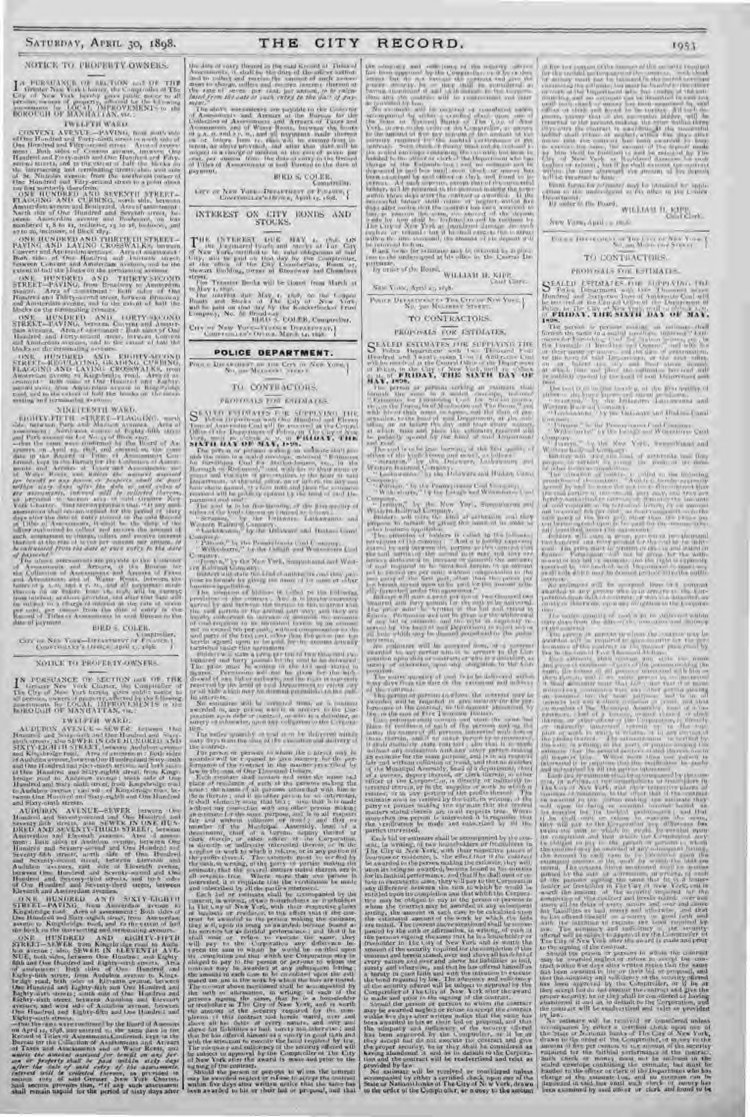#### NOTICE TO PROPERTY OWNERS.

#### **TWELFTH WARD**

TWELL TERVIS (FOR THE SECTION AND CITY (FOR THE BOODS) of the Horse Library (and the Horse Library (and the Horse Library (and the mass) and the second and the second and the second and the Horse Library (and the Horse Li

FOR HIGH PLAYER PLAYERS THREE THIS TREAT THE PAYERS AND LAYERS UNDER A RESIDENCE CONTRACT TRANSPORT TO THE CONTRACT THE CONTRACT THE CONTRACT OF THE CONTRACT AND MONEY AND RELEASE THE THEORY OF THE CONTRACT AND A RELEASE O

(AN) HUNDRED AND THIRTY-SECOND STREET-PAVING, from Brustleavy to Annu retina the street of the street in the state of the street and an all the street and an all the street and an all the street and the fact the fact the

 $\begin{tabular}{l|c|c|c|c|c} \hline ONI & HUSDRED & AND & IORTY-MAUOSD \\ \hline SIREET-T-UVINEG, betsem Computer and American Atest. After a system of the data of One line of the first state, and a system of the data of the end Aminers in the case, in the case of the data to the data. \\ \hline \end{tabular}$ 

Mode of the extremely access to EIGHTV-GODS IS ERECT HIGHLED AND EXAMPNO, CURINNO, STREET HIGHLED FROM A New York CHANNEL CROSS WALK and the same of the Same of the Control of the Same of the Same of the Same of the Same o enting and terminated were

#### COMETERNITI WARD.

das af juyment

## **BIRD & COLER.**

Government Controller, Controller, Controller, Controller, Controller, Controller, Controller, Controller, Controller, Controller, Controller, Controller, Controller, Controller, Controller, Controller, Controller, Control

#### **NOTICE TO PROPERTY/OWNERS.**

 $\begin{array}{ll} \textbf{I}^{\text{N}} & \text{PORSUASEE} & \text{O1}^{\text{N}} \text{ SECTION and } \text{O1}^{\text{N}} \text{ THK} \\ \text{Use Cby } \text{O} & \text{MeV Verk Clanter, the Conguender of } \\ \text{Li} & \text{Cby } \text{O} & \text{MeV Verk for the top of } \\ \text{Eopman, number of groups, generally by following:}\\ \text{Eopman, for LOLM, LIMPROV DENIS} & \text{on} \\ \text{In OLMI} & \text{OEMV TAN, var.} \end{array}$ 

IN HOURS CO.H. OF MANUFATIAN, THE CHARGE IN A MINIMUM AND THE MANUFATIAN CONTROL INTO A MINIMUM AND INTERFERENCE IN A MINIMUM AND INTERFERENCE THE ANGELE THREE THAN AND A MINIMUM AND A MINIMUM AND A MINIMUM AND A MINIMUM

AUTOR AND SERVER CONTROL AND THE CONTROL AND SERVER CONTROL AND SERVER CONTROL AND SERVER CONTROL AND SERVER CONTROL AND SERVER CONTROL AND SERVER CONTROL AND SERVER CONTROL AND SERVER CONTROL AND SERVER CONTROL AND SERVE

Extracts and Assumed the Assessment of ASTV (LGA) 11<br>
STRIET - PAVING, ham Ammerdam avenue to<br>
Kogstensge cont Armed avenue to<br>
Kogstensge cont Armed and Surry and the string from American

For the Hundred and Lines and the photon are the same in the same of the Hundred and Surry equal, since, from Americana and the same of the same of the same of the same of the same of the same of the same of the same of t

the data of energy three<br>set in the said Krosont of This and Area and the contract of the data by the dary of the officer authors<br>and the color and tractive the compact of order a most in the space and<br>for most in the spa

 $\Delta t = 0.04$  and  $\Delta t = 0.04$  and  $\Delta t = 0.04$  and  $\Delta t = 0.04$  and  $\Delta t = 0.04$  and  $\Delta t = 0.04$  and  $\Delta t = 0.04$  and  $\Delta t = 0.04$  and  $\Delta t = 0.04$  and  $\Delta t = 0.04$  and  $\Delta t = 0.04$  and  $\Delta t = 0.04$  and  $\Delta t = 0.04$  and  $\Delta t = 0.04$  a

 $\begin{array}{ll} \text{BRLD S}_r \text{ COJ.IR},\\ \text{Comotivity},\\ \text{For } or \text{ New Value-Deutivity},\\ \text{Conceronized (from $n_1$ Ayst) $r_1$}, 896.\\ \end{array}$ 

# INTEREST ON CITY RONDS AND

 $\begin{tabular}{l|cccccc|cccccc|} THE & (NT)REE & DHE & BAY & 1, & 154 & 68 \\ \hline $T$ & 100 & 1500, and 1500 & 100 & 10000 & 1100 & 10000 \\ \hline $ST$ & New Vark, and that the total day by the Comptonian, and the total day by the Comptonian. \\ \hline $T$ & 100 & 1000 & 1000 & 1000 & 1000 & 1000 & 1000 & 1000 \\ \hline $ST$ & 1000 & 1000 & 1000 & 1000 & 1000 & 10$ tirest, Transier Beeks will be Gosset from March at

For Transier Brooks will be a simply on the 1-appear of the same real time in the state of the same product and the same product will be point on the same by the Kaleker<br>function and the same product of the same productio

City of New York-Proper Distribution

## POLICE DEPARTMENT.

## $\overline{\text{Proof}} \in \overline{\text{Disc}}(\mathbb{R}^{n \times n}) \text{ and } \text{Cerb} \text{ on } \text{Spec} \text{ Xomal} \Big\}$ TO CONTRACTORS.

### PROFINALS FOR ESTIMATES.

parameter and an increasing of the first straight of the search of the first straight of the search of the search of the search of the search of the search of the search of the search of the search of the search of the se

 $\begin{array}{l} \textbf{Compose} \\ \textbf{P} \textbf{H}(x) = \mathbb{E}[x] \times \mathbb{E}[x] \times \mathbb{E}[x] \times \mathbb{E}[x] \times \mathbb{E}[x] \times \mathbb{E}[x] \times \mathbb{E}[x] \times \mathbb{E}[x] \times \mathbb{E}[x] \times \mathbb{E}[x] \times \mathbb{E}[x] \times \mathbb{E}[x] \times \mathbb{E}[x] \times \mathbb{E}[x] \times \mathbb{E}[x] \times \mathbb{E}[x] \times \mathbb{E}[x] \times \mathbb{E}[x] \times \mathbb{E}[x] \times$ 

 $\mathbf{C}$  . With colors  $\mathbf{C}$  , the the twist is any of the contribution of the spectrum density of the strengtheness in the contribution of the strengtheness is a second to provide the property of the strengtheness is

coefficient materials and the community of the coefficient of the coefficient of the coefficient of the coefficient of the coefficient of the coefficient of the coefficient of the coefficient of the coefficient of the coe to interests.

In activities will be accounted from, an a continue  $\overline{S}$  as existence associated to any potential to account to account to the Corresponding of the low-strength and the continued of the Corresponding of the continued

a secretical map, can construct and a trace to the loss of the secretical map is a secrety of the secrety of the secrety of the secrety of the secrety of the secrety of the secrety of the secrety of the secrety of the sec

 $\begin{array}{|c|c|c|c|c|c|c|c|c|} \hline \mathbf{L}^{BS} & \mathbf{L}^{BS} & \mathbf{L}^{BS} & \mathbf{L}^{BS} & \mathbf{L}^{BS} & \mathbf{L}^{BS} & \mathbf{L}^{BS} & \mathbf{L}^{BS} & \mathbf{L}^{BS} & \mathbf{L}^{BS} & \mathbf{L}^{BS} & \mathbf{L}^{BS} & \mathbf{L}^{BS} & \mathbf{L}^{BS} & \mathbf{L}^{BS} & \mathbf{L}^{BS} & \mathbf{L}^{BS} & \mathbf{L}^{BS} & \mathbf{L}^{BS} & \math$ 

and in the masses of the Hound,  $\frac{1}{N}\frac{1}{N}\frac{1}{N}\frac{1}{N}\frac{1}{N}\frac{1}{N}\frac{1}{N}\frac{1}{N}\frac{1}{N}\frac{1}{N}\frac{1}{N}\frac{1}{N}\frac{1}{N}\frac{1}{N}\frac{1}{N}\frac{1}{N}\frac{1}{N}\frac{1}{N}\frac{1}{N}\frac{1}{N}\frac{1}{N}\frac{1}{N}\frac{1}{N}\frac{1}{N}\frac{1}{N}\frac{1}{N}\frac{1}{N}\frac{1}{N}\frac{1}{N}\frac{1}{N}\frac{1}{N}\frac$ 

## Since Vental, April 25, 1838.

POLICE DI EXECUCIÓN DE TOUR CITY OF NEW YORK, TO CONTRACTORS.

#### PROPOSALS FOR ESTIMATES.

SEALED ESTIMATES THE SUPPLATING THE Hood range of the Transit Contract Land Property and the United States United States (1980) and the United States Contract Land Property and the United States Contract United States (198

Hence it is the Country of the Country of the Country of the Country of the Country of the Country of the Country of the Country of the Country of the Country of the Country of the Country of the Country of the Country of

The read is on be known our month, as follows a strike that the hundred boson and month, as follows and the strike of the hundred boson and boson and the strike  $\mathcal{O}$  and  $\mathcal{O}$  and  $\mathcal{O}$  and  $\mathcal{O}$  and  $\mathcal{O}$ 

Üm

 $\begin{array}{l} \displaystyle \mathbf{P}(G) = \alpha_1 + \mathbf{I}_G \quad \text{for } \mathbf{P} \text{ and } \mathbf{Q} \text{ is a } \mathbf{I}_G = \mathbf{I} \quad \text{for } \mathbf{I}_G \text{ and } \mathbf{Q} \text{ is a } \mathbf{I}_G \text{ and } \mathbf{Q} \text{ is a } \mathbf{I}_G \text{ and } \mathbf{Q} \text{ is a } \mathbf{I}_G \text{ and } \mathbf{Q} \text{ is a } \mathbf{I}_G \text{ and } \mathbf{Q} \text{ is a } \mathbf{I}_G \text{ and } \mathbf{Q}$ 

an look width any be described about 20  $\pm$  0000 and the second about 20 of 2000 and the control in the Core product in the Core product in the Core product in the Core product in the Core product in the Core product in t

consider the contract of the second particle in the contract of the second and the contract of the second and the contract of the second and the contract of the second and the contract of the second particle in the contra

parties uncertainty shall be assumed<br>by the contribution of the corresponded by the contribution of<br> $\mathcal{L}_\mathrm{E}$  in writing, of two leads buddens or free<br>follows in The City of Poet York, with their respective places of From the matrix of the state of the collision of the collision of the state and the state of the state of the state of the state of the state particle is the collision of the state of the state of the state of the state o

- South forms for entertained may be pressured for appli-**DEPOSITION** 

 $\begin{array}{lll} \text{from } \text{in} & \text{in} & \text{in} & \text{in} & \text{in} & \text{in} & \text{in} & \text{in} \\ \text{in} & \text{in} & \text{in} & \text{in} & \text{in} & \text{in} & \text{in} & \text{in} & \text{in} & \text{in} \\ \text{in} & \text{in} & \text{in} & \text{in} & \text{in} & \text{in} & \text{in} & \text{in} & \text{in} & \text{in} \\ \end{array}$ 

New York, April 16, 1890.

**FOLD & HERECHO CONTRACTOR** NOW TO BE NOT THE MOTOR IN STREET

TO DONTHACTIVES.

PROPOSALS FOR ASTIMATES. 

Since  $\alpha=1$  for an integral and all the ground by of all the state of the state of the later state of the state of the state of the state of the state of the state of the state of the state of the state of the state of t

acjaneg<br>"Tityano " koji je unova ravno forak formana<br>"Wybe nastaj" ky ilin katalji ma Winashiran Çank

 $\begin{tabular}{l|cccccc|cccccc|cccccc|} \hline \textbf{in}(t) & \textbf{in}(t) & \textbf{in}(t) & \textbf{in}(t) & \textbf{in}(t) & \textbf{in}(t) & \textbf{in}(t) & \textbf{in}(t) & \textbf{in}(t) & \textbf{in}(t) & \textbf{in}(t) & \textbf{in}(t) & \textbf{in}(t) & \textbf{in}(t) & \textbf{in}(t) & \textbf{in}(t) & \textbf{in}(t) & \textbf{in}(t) & \textbf{in}(t) & \textbf{in}(t) & \textbf{in}(t) & \textbf{in}(t) & \$ The waite quoties of root a gr in different within<br>any days from the  $\Delta x$  -the continuum and index<br>  $\tau$ 

1 and the state and the state and the state and the state and the state and the state and the state and the state and the state and the state and the state and the state and the state and the state and the state and the

in January with the transformation and the sequential of the State of The Case of The Case of the State of The Case of The Case of the State of the State of The Case of The Case of the second tends of The Case of the seco

#### THE CITY RECORD.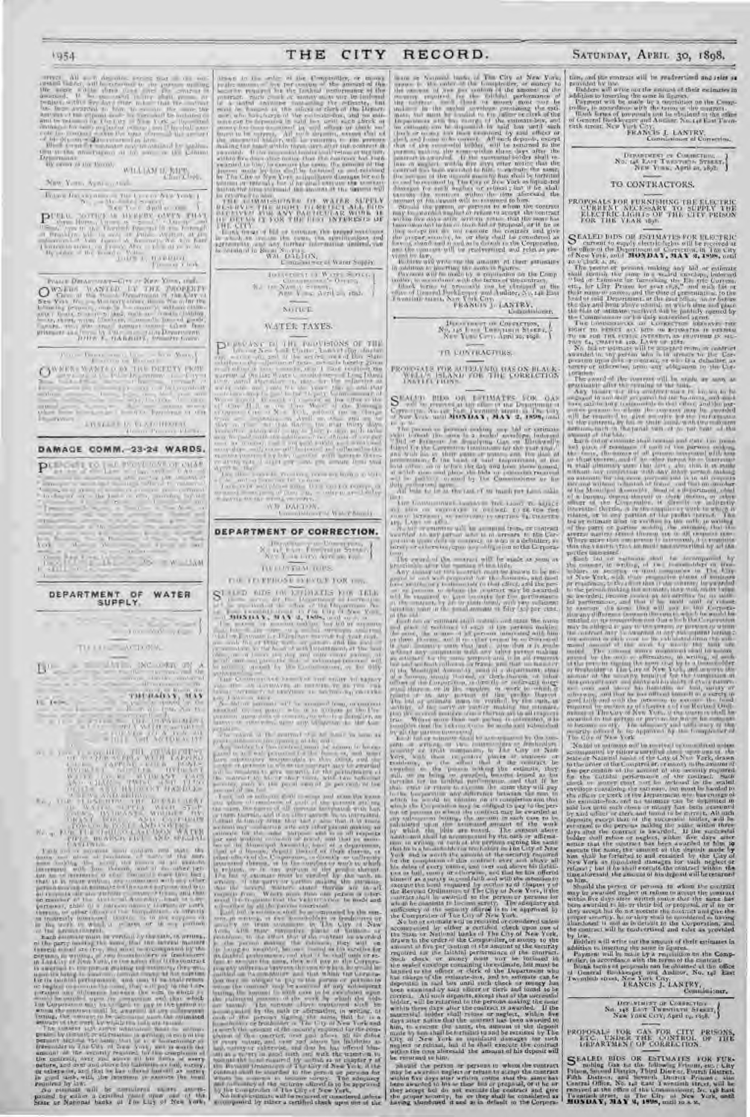#### 1954

 $D_{\rm{eff}}$  , then are the formal  $\sim$  WHA (AM  $M_{\rm{eff,eff}}$  ),  $\sim$  0.000  $M_{\rm{eff,eff}}$  ,  $\sim$  0.000  $M_{\rm{eff,eff}}$  ,  $\sim$ 

 $\begin{array}{l} \mbox{Fokner for any } \alpha \longleftarrow \mbox{Nic } \mbox{Fokner of } \mbox{Nic } \mbox{Kock} \\ \mbox{S} \vdash \mbox{S} \rightarrow \mbox{Nic } \mbox{Nic } \mbox{S} \rightarrow \mbox{Nic } \mbox{Nic } \mbox{Nic } \mbox{Nic } \mbox{Nic } \mbox{Nic } \mbox{Nic } \mbox{Nic } \mbox{Nic } \mbox{Nic } \mbox{Nic } \mbox{Nic } \mbox{Nic } \mbox{Nic } \mbox{Nic } \mbox{Nic } \mbox{Nic } \mbox{Nic } \$  $\label{eq:10} \begin{array}{cccccccccc} \mathbf{P}^{\text{C}} & \text{in} & \text{in} & \text{in} & \text{in} & \text{in} & \text{in} & \text{in} & \text{in} \\ \mathbf{P}^{\text{C}} & \text{in} & \text{in} & \text{in} & \text{in} & \text{in} & \text{in} & \text{in} & \text{in} & \text{in} \\ \hline \text{in} & \text{in} & \text{in} & \text{in} & \text{in} & \text{in} & \text{in} & \text{in} & \text{in} & \text{in} & \text{in} \\ \hline \text{$ 

 $\label{eq:Q} \begin{array}{ll} \mbox{Poisson} & \mbox{Poisson} & \mbox{Poisson} & \mbox{Nors.} & \mbox{Nors.} & \mbox{mod} \\ \mbox{Q.} & \mbox{Q.} & \mbox{Q.} & \mbox{Q.} & \mbox{Q.} & \mbox{Q.} & \mbox{Q.} & \mbox{Q.} & \mbox{Q.} \\ \mbox{Q.} & \mbox{Q.} & \mbox{Q.} & \mbox{Q.} & \mbox{Q.} & \mbox{Q.} & \mbox{Q.} & \mbox{Q.} & \mbox{Q.} & \mbox{Q.} \\ \m$ 

ato.

ATLANTA R.D. VANDITIONAL

DAMAGE COMM. 23-24 WARDS.

PULSE LTD I - I PROVIDED OF CHAP  $\label{eq:1} \begin{split} \mathcal{L}_{\text{max}} = \frac{1}{\sqrt{2}} \mathcal{L}_{\text{max}} \left[ \frac{1}{\sqrt{2}} \mathcal{L}_{\text{max}} \right] \end{split}$  $\ln \left( \Gamma_{\alpha} \cdot \mathcal{F} \cdot \mathcal{F} - \ln \left( \Gamma_{\alpha} \right) \right) = \ln \left( \Gamma_{\alpha} \cdot \mathcal{F} \right) \ln \left( \ln \left( \Gamma_{\alpha} \right) \right)$  $\tilde{\sigma}$  or  $\sqrt{2}$ **KOS**  $\begin{bmatrix} 1 & 0 & 0 \\ 0 & 0 & 0 \\ 0 & 0 & 0 \\ 0 & 0 & 0 \\ 0 & 0 & 0 \\ 0 & 0 & 0 \\ 0 & 0 & 0 \\ 0 & 0 & 0 \\ 0 & 0 & 0 & 0 \\ 0 & 0 & 0 & 0 \\ 0 & 0 & 0 & 0 \\ 0 & 0 & 0 & 0 & 0 \\ 0 & 0 & 0 & 0 & 0 \\ 0 & 0 & 0 & 0 & 0 \\ 0 & 0 & 0 & 0 & 0 & 0 \\ 0 & 0 & 0 & 0 & 0 & 0 \\ 0 & 0 & 0 & 0 & 0 & 0 & 0 \\ 0 &$ 



TU LEE ACROSS

 $\label{eq:1} \begin{array}{rcl} \mu_{\text{max}} = \frac{1}{2} \left( \frac{1}{2} \frac{1}{\sqrt{2}} \right) \left[ \frac{1}{2} \left( \frac{1}{2} \frac{1}{\sqrt{2}} \right) \left( \frac{1}{2} \frac{1}{\sqrt{2}} \right) \right] \left( \frac{1}{2} \frac{1}{\sqrt{2}} \right) \left( \frac{1}{2} \frac{1}{\sqrt{2}} \right) \left( \frac{1}{2} \frac{1}{\sqrt{2}} \right) \left( \frac{1}{2} \frac{1}{\sqrt{2}} \right) \left( \frac{1}{2} \frac{1}{$  $L^{n}$  $\begin{picture}(180,10) \put(0,0){\line(1,0){10}} \put(0,0){\line(1,0){10}} \put(0,0){\line(1,0){10}} \put(0,0){\line(1,0){10}} \put(0,0){\line(1,0){10}} \put(0,0){\line(1,0){10}} \put(0,0){\line(1,0){10}} \put(0,0){\line(1,0){10}} \put(0,0){\line(1,0){10}} \put(0,0){\line(1,0){10}} \put(0,0){\line(1,0){10}} \put(0,0){\line(1,0){10}} \put(0$ 

THERADIY, NAV  $\mathbb{I} \subseteq \mathbb{I}$  of  $\mathbb{I}$  . The Milleton of 

THE CITY

 $\label{eq:3} \mathcal{H}_{\mathcal{A}} = \left\{ \begin{array}{ll} 10.114~\mathrm{MeV} & 0 & \mathrm{W_{\mathcal{A}}\text{CFL}} \lesssim 0.015\\ \mathrm{G}_{\mathcal{A}} & 0.01475\\ \mathrm{G}_{\mathcal{A}} & 0.01475\\ \mathrm{A}\left\{ 0.014~\mathrm{MeV} \right\} & \approx 0.0241\\ \mathrm{A}\left\{ 0.014~\mathrm{MeV} \right\} & \approx 0.0241\\ \mathrm{A}\left\{ 0.01475 \right\} & \approx 0.001$ 

NOTICE

## WATER TAXES.

WWW.DARTON. assigner is beer boosty.

## DEPARTMENT OF CORRECTION.  $\mathbb{E}\left[\begin{array}{c} \mathbf{1}_{\{1,2\}} & \mathbf{1}_{\{1,3\}} \\ \mathbf{1}_{\{1,2\}} & \mathbf{1}_{\{1,3\}} \\ \mathbf{1}_{\{1,2\}} & \mathbf{1}_{\{1,3\}} \end{array}\right], \mathbf{1}_{\{1,3\}} \left[\begin{array}{c} \mathbf{1}_{\{1,3\}} & \mathbf{1}_{\{1,3\}} \\ \mathbf{1}_{\{1,3\}} & \mathbf{1}_{\{1,3\}} \\ \mathbf{1}_{\{1,3\}} & \mathbf{1}_{\{1,3\}} \end{array}\right],$

TUTURED TOPS

FOR VELEPHONE SYSTEM FOR YOU.

 $\begin{array}{|c|c|c|c|c|c|c|c|} \hline \textbf{1} & \textbf{1} & \textbf{1} & \textbf{1} & \textbf{1} & \textbf{1} & \textbf{1} & \textbf{1} & \textbf{1} & \textbf{1} & \textbf{1} & \textbf{1} & \textbf{1} & \textbf{1} & \textbf{1} & \textbf{1} & \textbf{1} & \textbf{1} & \textbf{1} & \textbf{1} & \textbf{1} & \textbf{1} & \textbf{1} & \textbf{1} & \textbf{1} & \textbf{1} & \textbf{1} & \textbf{1$ 

 $\frac{1}{\sqrt{2}}\int_{0}^{2\pi} \frac{1}{\sqrt{2}}\frac{1}{\sqrt{2}}\frac{1}{\sqrt{2}}\frac{1}{\sqrt{2}}\frac{1}{\sqrt{2}}\frac{1}{\sqrt{2}}\frac{1}{\sqrt{2}}\frac{1}{\sqrt{2}}\frac{1}{\sqrt{2}}\frac{1}{\sqrt{2}}\frac{1}{\sqrt{2}}\frac{1}{\sqrt{2}}\frac{1}{\sqrt{2}}\frac{1}{\sqrt{2}}\frac{1}{\sqrt{2}}\frac{1}{\sqrt{2}}\frac{1}{\sqrt{2}}\frac{1}{\sqrt{2}}\frac{1}{\sqrt{2}}\frac{1}{\sqrt{2}}$ 

RECORD.

Health will write our the ansatz at that a massive comparison is not the comparison of the Companion of the Companion of the Companion of the barrier of the barrier of the barrier of the barrier of the barrier of the barr

**antialomi** 

# 

### TR LUNTILAGTIUS.

PRODUCTLY FOR AUTHOR DIAS ON BLACK WELL THE CORRECTION INVESTIGATION

 $\frac{1}{2}$  . The procedure form is a model of the property of the second particle of the property of the property of the property of the property of the property of the property of the property of the property of the prope

All bear to be an environment in the Lagred C. Matcheson (2019) and the control of the Castle C. The Control of the Castle C. Control of the Castle C. Control of the control of the control of the control of the control of

The count of the matrix will be made as seen as  $\Delta xy$  the count of the matrix in the tensor is the measure of  $\Delta xy$  the matrix  $\Delta xy$  the matrix  $\Delta xy$  the matrix  $\Delta xy$  is the matrix of  $\Delta xy$  the matrix of  $\Delta y$  and  $\Delta y$  a

2011 - The main the state the state of the state of the state of the state of the state of the state of the state of the state of the state of the state of the state of the state of the state of the state of the state of

is removed to person in persons to whom the contract<br>may be awarded to person in persons to a second the contract<br>may be awarded to play the contract may be awarded to this second the<br>matrix relation contract that the same

SATURDAY, APRIL 30, 1898.

 $\begin{tabular}{l|c|c|c|c|c|c|c|c} \hline \textbf{non, and its current will be reduced and mass is a provided by low.}\\ \hline \textbf{nonvallet by low.}\\ \hline \textbf{nonvallet by low.}\\ \hline \textbf{addition to increasing the same in figure,}\\ \hline \textbf{P} \textbf{a} \textbf{y} \textbf{y} \textbf{y} \textbf{y} \textbf{y} \textbf{y} \textbf{y} \textbf{y} \textbf{y} \textbf{y} \textbf{y} \textbf{y} \textbf{y} \textbf{y} \textbf{y} \textbf{y} \textbf{y} \textbf{y} \textbf{$ 

 $\begin{array}{l} \mbox{Dipunators are Commutum,}\\ \mbox{No: tag, Kart Twuxrabs, Franker,}\\ \mbox{New Vins. April on, 1892.} \end{array}$ TO CONTRACTORS.

PROPOSALS FOR FURNISHING THE ELECTRIC CURRENT AFTER FLECTRIC LIGHTS OF THE CITY PEISON FOR THE VEALS  $10\mu$ 

S CALED BIDS ON JSTIMATIS FOR RECTRIC COMMUNICATES CONTRACTOR (SUPERIOR)

of New York, and 1000 DAY, 30AY, 30AY, 30AY 314 DE ten to the Tries particle in the ten of the pressure of the pressure of the pressure of the pressure of the pressure of the pressure of the pressure of the pressure of th

Note that the system will be exampled to the performance of the<br>Legislation of the system will be exampled to the system will be the<br>system of the system of the system of the system of the system of the<br>system of the syst

Fig. (a) and the second with the second term of the second and the second and the second second and the second and the second second and the second second and the second second the second second the second second term of

alundanes it alumdoned it will as in detail to the Corporation, and<br>the cantract will be readvertised and value as provided<br>by law.<br>Bidders will write our the amount of their estimates in

by law,<br>address will write our the amount of these contained in Companished and the main by a response in distribution for the Companisher, in according to the terms of the Contrast Blunk terms of the contained at the offi

| DEPARTMENT OF CONDECTION 4    |
|-------------------------------|
| No. 148 EAST TWINDIATH STEELT |
|                               |

PROPOSALE FOR CAN FOR CITY PRISONS, ETC. USIDER THE CONTROL OF THE LAPARTMENT OF CORRECTION.

S FALED BIOS OR ESTIMATES FOR FURNISHED module Can as the following Feinemi such this problem of the Film Control District Power District Control District Control of the City of the City of the City of the City of the Cit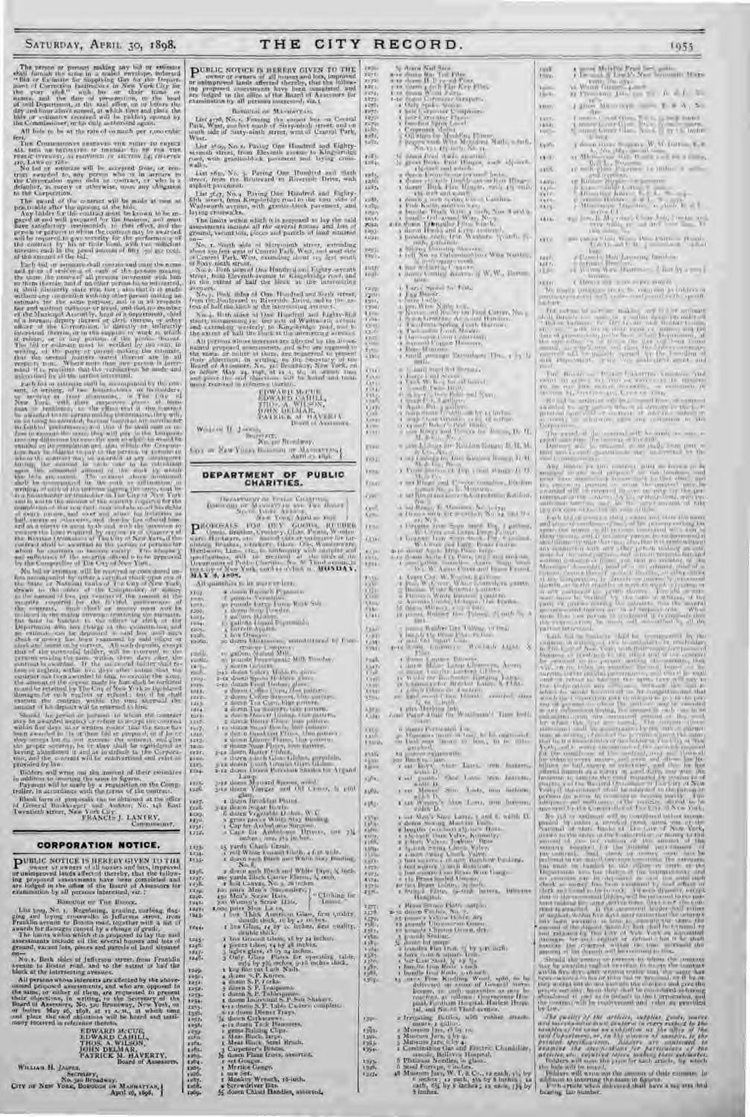# The person or persons making any had or estimate that furnals the same in a scaled revealed revealed more in the original more than the beam of the complete more of Correction lunched more of the set of the set of the set All hole to be at the rate of so much per r,poo cubic

feet, In Comments<br>are concrete anothers are relative to expect and the comments of the<br>manner in the case of the control of the control of the control of<br>the state of the control of the computed from the control of the<br>con

 $\frac{1}{T(\omega)}$ 

The first of estimates will be accorded from the control from the main and the state of the first of the control from the state of the control from the state of the control from the control of the control of the control o

contrast if has depends on the contrast in him.<br>
Similar was the contrast in him. The contrast in the contrast of the contrast of the contrast of the contrast of the contrast of the contrast of the contrast of the contras

Final form at proposals the indicated at the effice<br>of General Books-eper and Auditor, No. 140 basic Persian Proposals (Fig. 2)<br>PEANCES J. LANTRY, Commonwealt, Commonwealt, Commonwealt,

#### **CORPORATION NOTICE.**

Bosodok or The Banck. Like you, No. 1. Regularing, grading, coeffice, flog.<br>given and loying crosswalks in Jefferson street, from<br>Franklin avenue to Boston road, together with a list of<br>Avenue to Boston road, together with a list of<br>Avenue to B

con-<br>No. , Reth sides of Jefferson street from Frachlin<br>ayesite is Bostin read, and to the astent of half the<br>block at the intersecting avenues.

1249<br>1253 now at the interesting avenues.<br>
All periods whose interests are affected by the shawe-<br>
onional proposed assessments, and who are opposed to<br>
the same, or enther of them, are requested to present<br>
their edges terms, by a (2) 经特别的转让 计自动编码 计故障 网络小头 计分类 计分类 计分类 计分类 计数字

**EDWARD MCUE,<br>EDWARD CABILI,<br>THOS A. WILSON,<br>JOHN DELMAR,<br>PATRICK M. HAVERTY,<br>PATRICK M. HAVERTY,** WILLIAM H. JAGERT, SEPTERTY, NAJRE BUYON OF NEW YORK, BOSONON OF APRIL 16, 1886.

PUBLIC NOTICE IS HEREBY GIVEN TO THE cover or ewners of all masses and less, improvement and affected thereby, that the collection proposed assessments have been sampled as an increase and the linear influence and the standard and the final influence in the s  $2.05.1$  $x74$ 1873

Boxoton or Manageran. Last 4790, No. 1. Femalus the second has an Ceratul<br>Fark, West, sum fort south of Sisty-nimit street, one of the second theory<br>wast. West, 識

List 2500, No. 1. Paving One Hondred and Eighty-<br>tranch street, from Eleventh average to King-artifical, with granitable<br>ck, povement and bying com- $\mathbf{u}$ 

List 1612, No. 3, Paving One Hundred and Stark<br>street, from the Rousvard to Riverside Drive, with<br>aspholt-pavement.

That xery, No.4 Paying Due Hundred, and foglay-<br>Bith street, home King-bridge road to the used side of<br>Walescorth avenue, with graniti-block parement, and<br>laying crosswalks,

The limits which it is proposed to lay the unit<br>assessments include all the several finites and loss of<br>ground, vecant late, pieces and particle of load almoses

cannot be a "South side of Metropolom Merer, extending about an few and feature of Dark, West, examples the control Park, West, examples the control of the control Park, West, examples the control of the Sixty signal in Si

i = tri<br>Ligili 中价

recovers. But also of One Hundred and Beth street, So, a bond when the Bonder of Riverside Delve, and in the as-<br>from the Bonderard to Riverside Delve, and in the as-<br>from of half the block at the interesting average.

No. 4, 10 th at<br>the  $\approx 1$  Due Hundred and Nighty-Rin strett, componently<br> $\approx 0.02$  and  $\approx 0.01$  Madria rin avenue and carenter<br> $\approx 0.01$  and  $\approx 0.01$  and  $\approx 0.01$  <br>and  $\approx 0.01$  and  $\approx 0.01$  and<br> $\approx 0.01$ 

All process of<br>nois terms axis allocad by the  $10$  axis matrix property<br> $10$  at which are considered as sensitively and who are expected to the<br> $\alpha$  matrix of the constant  $\alpha$  with<br> $\alpha_1$  by the Secretary of the linear o

**EDWARD MATH**<br>**EDWARD MATH**<br>**THOS** AWAY AND MATHEMATHEMAN<br>
THOS DELINERS AT HAVE EXTREMENT  $\label{eq:W} \begin{array}{ll} \mathbf{W}(i,j,s) \in \mathcal{H} & \mathcal{I} \xrightarrow{\mathbb{R} \times \mathbb{R} \times \mathbb{R} \times \mathbb{R} \times \mathbb{R} \times \mathbb{R} \times \mathbb{R} \times \mathbb{R} \times \mathbb{R} \times \mathbb{R} \times \mathbb{R} \times \mathbb{R} \times \mathbb{R} \times \mathbb{R} \times \mathbb{R} \times \mathbb{R} \times \mathbb{R} \times \mathbb{R} \times \mathbb{R} \times \mathbb{R} \times \mathbb{R} \times \mathbb{R} \times \math$ fine or Hew Yours Homeon or Manuscripto DEPARTMENT OF PUBLIC<br>CHARITIES. **COTA**  $-111$  $1 - 11$ **Cities** tan).<br>Faith jairia. er gathers, Maland Mill.<br>As Bourder, Maland Mill. Milk Toucher,  $1 - 4i$ For gentlema, the<br>initial Milli Milli Ninches, and the same first the same first distance<br>and the same first distance of the same first distance of the same first<br>of the same of the same of the same of the same of the sam **Callier** 22 **HILL** 1252 und<br>1964  $3.06$  $\frac{117}{110}$ 1212 rear. ET34 15.20 iait.<br>Indo  $10^{10}$ <br> $10^{10}$ **TEES** r relic Webster and Block and White Transport of the set of the space and the particle of the space and the space of the space of the space of the space of the space of the space of the space of the space of the space of  $1135$ 1910. 剛 1345<br>1945<br>1945<br>1943  $\begin{array}{l} 2.579 \\ 1.98 \\ 1.91 \\ 1.91 \\ 1.91 \\ 1.91 \\ 1.91 \\ 1.91 \\ 1.91 \\ \end{array}$  $1044 \frac{1947}{1246}$ 

- 
- 
- 
- 
- 
- 
- 
- 
- 
- 
- 
- 1 miw Set.<br>1 Monkey Wrench, 15-iuch.<br>2 Seriwaritwr Bus.<br>5 dosen Chaul Bandies, assorted.

THE CITY RECORD.

i ingili

Ury.

 $14921$ 

 $\frac{r_1 R_{11}}{4 \pi R_{11}}$ 

 $\frac{100}{1200}$ 

 $-15$ colloy

 $10155$  $7 - 12$  $(101)$ 

4.4341

mus.

1201

V. 88

nati<br>Luu 61%<br>1310 (

cise.

m.

W

**Lives** 

 $001$ THINK

**Travy** con:

德

**TENN**  $4.00 \frac{1}{1111}$ 

 $\frac{1}{1/4}$ 

**Falur** 

**SIM** 

Fuck)

燃  $1.147$ ATVI

350

**Sill** 

**Links** 

mills i jin

riffri

sila.

**FIAL** 

S.

W

**MB** 

un.

 $1.73$ 

 $rac{1}{4}$ 

 $^{2.077}_{2.078}$ 

 $\begin{array}{l} 1.35 \\ 1.185 \\ 1.185 \\ 1.08 \\ 1.08 \\ 1.08 \\ \end{array}$ 

1394-

 $-1921$  $13WV$ 13944

**Live** 

turz.

 $2-10$ 

- 
- 
- 
- 
- 
- 
- 
- **TEG LAN's**

1955

A more Maturity Frank of the animals Maria

A Walter Gill and Constant of the Constant of the Constant Constant of the Constant of the Constant of the Constant of the Constant of the Constant of the Constant of the Constant of the Constant of the Constant of the Con

 $120 - 180$ 

 $\left\{ \begin{array}{ll} \hbox{for all } x\in\mathbb{R}^n, \; x\in\mathbb{R}^n, \; x\in\mathbb{R}^n, \\ \hbox{for all } x\in\mathbb{R}^n, \; x\in\mathbb{R}^n, \; x\in\mathbb{R}^n, \\ \hbox{for all } x\in\mathbb{R}^n, \; x\in\mathbb{R}^n, \; x\in\mathbb{R}^n, \\ \hbox{for all } x\in\mathbb{R}^n, \; x\in\mathbb{R}^n, \; x\in\mathbb{R}^n. \end{array} \right.$ 

 $\lim_{\varepsilon\to 0}\liminf_{\varepsilon\to 0}\frac{V(\varepsilon)}{\varepsilon}=\frac{N\varepsilon-1}{\varepsilon}\frac{\varepsilon}{\varepsilon}\frac{\varepsilon}{\varepsilon}=\frac{\varepsilon}{\varepsilon}\frac{\varepsilon}{\varepsilon}.$ 

 $\begin{tabular}{|c|c|c|c|c|c|c|c|} \hline $p$-133 & Star D, & {\it 2000,1000} & {\it 3000,600} \\ \hline $p$-133 & $p$-133 & $p$-133 & $p$-133 & $p$-133 & $p$-133 \\ \hline \end{tabular}$ 

CHANGE OF THE PERCENTA

We may a problem  $\alpha$  in the fit compared to interest and the problem of the problem of the  $\alpha$ 

That there are  $\mathcal{D}^{\prime}$  is a function of a result of the  $\mathcal{D}^{\prime}$  of the  $\mathcal{D}^{\prime}$  and  $\mathcal{D}^{\prime}$  are  $\mathcal{D}^{\prime}$  and  $\mathcal{D}^{\prime}$  are  $\mathcal{D}^{\prime}$  and  $\mathcal{D}^{\prime}$  are  $\mathcal{D}^{\prime}$  and  $\mathcal{D}^{\prime}$  are  $\mathcal$ 

Simula the person is referred to define the company was the first of the company was the company of the company was the company of the company was the company of the company of the company of the company of the company of

LWG - All

reali<br>Historia

Ц.,

Horn,

**LAND**<br>Fibrio

DyWo.

DO TO

egen.<br>Kalend

文庫大阪の

143.0

racé un.

**MITT** 

m

- 
- 
- 
- $\begin{tabular}{|c|c|c|c|c|c|c|} \hline \textbf{X} & \textbf{Area} & \textbf{Area} & \textbf{Area} & \textbf{Area} \\ \hline \textbf{X} & \textbf{Area} & \textbf{B} & \textbf{B} & \textbf{B} & \textbf{B} \\ \hline \textbf{X} & \textbf{Area} & \textbf{Area} & \textbf{Area} & \textbf{Area} \\ \hline \textbf{X} & \textbf{Area} & \textbf{Area} & \textbf{Area} & \textbf{Area} \\ \hline \textbf{X} & \textbf{Area} & \textbf{Area} & \textbf{Area} & \textbf{Area} \\ \$  $1414c$
- 
- 
- 
- 
- 
- 
- 
- 
- 
- $\alpha$  ) and  $\alpha$  <br>space  $\alpha$  . Find  $\alpha$  , and<br> $\alpha$  <br> $\alpha$  <br> $\beta$  and Bassics . Then Bassics and the Space and the Space and the last property of the space of the space of the first<br>space of the space of the space of the spa
- 
- 
- 
- 
- 
- 
- 
- 
- 
- 
- 
- 
- 
- 
- 
- 
- $\begin{tabular}{l|c|c|c|c|c|c|c} \hline $1$ & $100$ & $100$ & $100$ & $100$ & $100$ & $100$ & $100$ & $100$ & $100$ & $100$ & $100$ & $100$ & $100$ & $100$ & $100$ & $100$ & $100$ & $100$ & $100$ & $100$ & $100$ & $100$ & $100$ & $100$ & $100$ & $100$ & $100$ & $100$ & $100$ & $100$ & $100$ & $100$$
- 
- 
- 
- 
- 
- 
- 
- 
- 
- 
- 
- 
- $\begin{tabular}{l|c|c|c|c|c|c|c} \hline $a$ & $b$ & $b$ & $b$ & $b$ & $c$ & $c$ \\ \hline $a$ & $b$ & $b$ & $c$ & $a$ & $b$ & $b$ & $c$ & $c$ & $c$ \\ \hline $a$ & $b$ & $b$ & $b$ & $a$ & $a$ & $a$ & $a$ & $a$ & $a$ & $a$ \\ \hline $a$ & $b$ & $b$ & $a$ & $a$ & $a$ & $a$ & $a$ & $a$ & $a$ & $a$ \\ \hline $a$ & $b$ & $a$ & $a$ & $a$ & $a$ & $a$$

within D. (2003). Now Lattice 1 and 6, within B. a decay between the state of the property than  $\mathbf{V}$  depends to a local state  $\mathbf{V}$  decay between the state of the state of the state of the state of the state of the

For a strength of the strength of the strength of the strength of the strength of the strength of the strength of the strength of the strength of the strength of the strength of the strength of the strength of the strengt

 $\begin{tabular}{l|c|c|c|c} \hline & \text{rad, and from $1$-Ind of vertex.}\\ \hline $x$ - frequency & \text{rad, } x$ & \text{rad, } y$ & \text{rad, } z$ & \text{rad, } z$ & \text{rad, } z$ & \text{rad, } z$ & \text{rad, } z$ & \text{rad, } z$ & \text{rad, } z$ & \text{rad, } z$ & \text{rad, } z$ & \text{rad, } z$ & \text{rad, } z$ & \text{rad, } z$ & \text{rad, } z$ & \text{rad, } z$ & \text{rad, } z$ & \text{rad, } z$ & \text{rad, } z$ & \text{rad$ 

r Risa Strao Patri anglo<br>2 decem Furbo, No. 7.<br>2 januar Vetow Doble, ary

- 
-